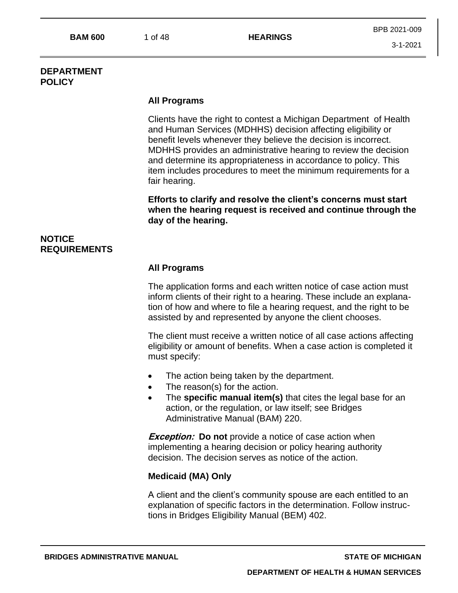#### **DEPARTMENT POLICY**

## **All Programs**

Clients have the right to contest a Michigan Department of Health and Human Services (MDHHS) decision affecting eligibility or benefit levels whenever they believe the decision is incorrect. MDHHS provides an administrative hearing to review the decision and determine its appropriateness in accordance to policy. This item includes procedures to meet the minimum requirements for a fair hearing.

**Efforts to clarify and resolve the client's concerns must start when the hearing request is received and continue through the day of the hearing.**

# **NOTICE REQUIREMENTS**

## **All Programs**

The application forms and each written notice of case action must inform clients of their right to a hearing. These include an explanation of how and where to file a hearing request, and the right to be assisted by and represented by anyone the client chooses.

The client must receive a written notice of all case actions affecting eligibility or amount of benefits. When a case action is completed it must specify:

- The action being taken by the department.
- The reason(s) for the action.
- The **specific manual item(s)** that cites the legal base for an action, or the regulation, or law itself; see Bridges Administrative Manual (BAM) 220.

**Exception: Do not** provide a notice of case action when implementing a hearing decision or policy hearing authority decision. The decision serves as notice of the action.

## **Medicaid (MA) Only**

A client and the client's community spouse are each entitled to an explanation of specific factors in the determination. Follow instructions in Bridges Eligibility Manual (BEM) 402.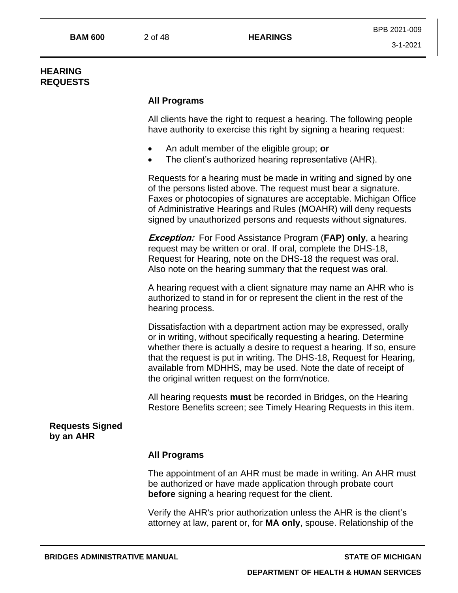## **HEARING REQUESTS**

## **All Programs**

All clients have the right to request a hearing. The following people have authority to exercise this right by signing a hearing request:

- An adult member of the eligible group; **or**
- The client's authorized hearing representative (AHR).

Requests for a hearing must be made in writing and signed by one of the persons listed above. The request must bear a signature. Faxes or photocopies of signatures are acceptable. Michigan Office of Administrative Hearings and Rules (MOAHR) will deny requests signed by unauthorized persons and requests without signatures.

**Exception:** For Food Assistance Program (**FAP) only**, a hearing request may be written or oral. If oral, complete the DHS-18, Request for Hearing, note on the DHS-18 the request was oral. Also note on the hearing summary that the request was oral.

A hearing request with a client signature may name an AHR who is authorized to stand in for or represent the client in the rest of the hearing process.

Dissatisfaction with a department action may be expressed, orally or in writing, without specifically requesting a hearing. Determine whether there is actually a desire to request a hearing. If so, ensure that the request is put in writing. The DHS-18, Request for Hearing, available from MDHHS, may be used. Note the date of receipt of the original written request on the form/notice.

All hearing requests **must** be recorded in Bridges, on the Hearing Restore Benefits screen; see Timely Hearing Requests in this item.

**Requests Signed by an AHR**

#### **All Programs**

The appointment of an AHR must be made in writing. An AHR must be authorized or have made application through probate court **before** signing a hearing request for the client.

Verify the AHR's prior authorization unless the AHR is the client's attorney at law, parent or, for **MA only**, spouse. Relationship of the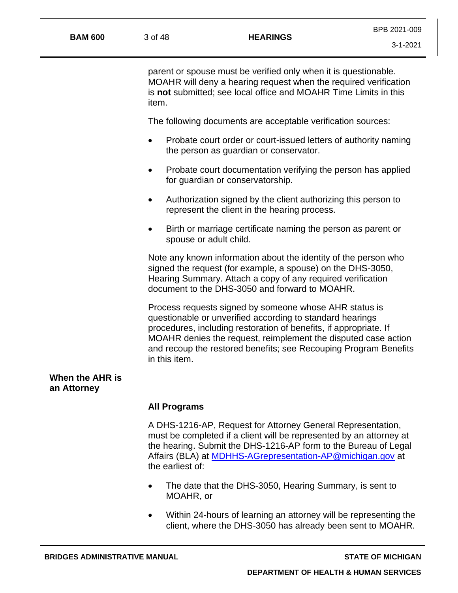| <b>BAM 600</b>                 | 3 of 48                                                                                                                                                                                                                                                                                        | <b>HEARINGS</b>                                                                                                                                                                                                                                                                                                                                 | $3 - 1 - 2021$ |
|--------------------------------|------------------------------------------------------------------------------------------------------------------------------------------------------------------------------------------------------------------------------------------------------------------------------------------------|-------------------------------------------------------------------------------------------------------------------------------------------------------------------------------------------------------------------------------------------------------------------------------------------------------------------------------------------------|----------------|
|                                | item.                                                                                                                                                                                                                                                                                          | parent or spouse must be verified only when it is questionable.<br>MOAHR will deny a hearing request when the required verification<br>is not submitted; see local office and MOAHR Time Limits in this                                                                                                                                         |                |
|                                |                                                                                                                                                                                                                                                                                                | The following documents are acceptable verification sources:                                                                                                                                                                                                                                                                                    |                |
|                                | $\bullet$                                                                                                                                                                                                                                                                                      | Probate court order or court-issued letters of authority naming<br>the person as guardian or conservator.                                                                                                                                                                                                                                       |                |
|                                |                                                                                                                                                                                                                                                                                                | Probate court documentation verifying the person has applied<br>for guardian or conservatorship.                                                                                                                                                                                                                                                |                |
|                                | $\bullet$                                                                                                                                                                                                                                                                                      | Authorization signed by the client authorizing this person to<br>represent the client in the hearing process.                                                                                                                                                                                                                                   |                |
|                                | $\bullet$                                                                                                                                                                                                                                                                                      | Birth or marriage certificate naming the person as parent or<br>spouse or adult child.                                                                                                                                                                                                                                                          |                |
|                                | Note any known information about the identity of the person who<br>signed the request (for example, a spouse) on the DHS-3050,<br>Hearing Summary. Attach a copy of any required verification<br>document to the DHS-3050 and forward to MOAHR.                                                |                                                                                                                                                                                                                                                                                                                                                 |                |
|                                |                                                                                                                                                                                                                                                                                                | Process requests signed by someone whose AHR status is<br>questionable or unverified according to standard hearings<br>procedures, including restoration of benefits, if appropriate. If<br>MOAHR denies the request, reimplement the disputed case action<br>and recoup the restored benefits; see Recouping Program Benefits<br>in this item. |                |
| When the AHR is<br>an Attorney |                                                                                                                                                                                                                                                                                                |                                                                                                                                                                                                                                                                                                                                                 |                |
|                                | <b>All Programs</b>                                                                                                                                                                                                                                                                            |                                                                                                                                                                                                                                                                                                                                                 |                |
|                                | A DHS-1216-AP, Request for Attorney General Representation,<br>must be completed if a client will be represented by an attorney at<br>the hearing. Submit the DHS-1216-AP form to the Bureau of Legal<br>Affairs (BLA) at <b>MDHHS-AGrepresentation-AP@michigan.gov</b> at<br>the earliest of: |                                                                                                                                                                                                                                                                                                                                                 |                |
|                                | $\bullet$                                                                                                                                                                                                                                                                                      | The date that the DHS-3050, Hearing Summary, is sent to<br>MOAHR, or                                                                                                                                                                                                                                                                            |                |
|                                |                                                                                                                                                                                                                                                                                                | Within 24-hours of learning an attorney will be representing the<br>client, where the DHS-3050 has already been sent to MOAHR.                                                                                                                                                                                                                  |                |

BPB 2021-009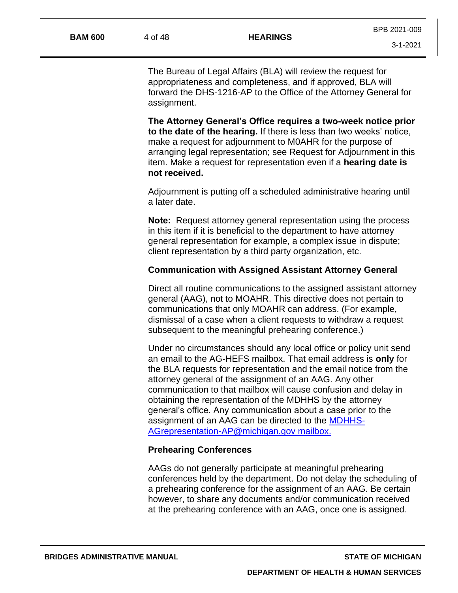The Bureau of Legal Affairs (BLA) will review the request for appropriateness and completeness, and if approved, BLA will forward the DHS-1216-AP to the Office of the Attorney General for assignment.

**The Attorney General's Office requires a two-week notice prior to the date of the hearing.** If there is less than two weeks' notice, make a request for adjournment to M0AHR for the purpose of arranging legal representation; see Request for Adjournment in this item. Make a request for representation even if a **hearing date is not received.**

Adjournment is putting off a scheduled administrative hearing until a later date.

**Note:** Request attorney general representation using the process in this item if it is beneficial to the department to have attorney general representation for example, a complex issue in dispute; client representation by a third party organization, etc.

#### **Communication with Assigned Assistant Attorney General**

Direct all routine communications to the assigned assistant attorney general (AAG), not to MOAHR. This directive does not pertain to communications that only MOAHR can address. (For example, dismissal of a case when a client requests to withdraw a request subsequent to the meaningful prehearing conference.)

Under no circumstances should any local office or policy unit send an email to the AG-HEFS mailbox. That email address is **only** for the BLA requests for representation and the email notice from the attorney general of the assignment of an AAG. Any other communication to that mailbox will cause confusion and delay in obtaining the representation of the MDHHS by the attorney general's office. Any communication about a case prior to the assignment of an AAG can be directed to the [MDHHS-](mailto:MDHHS-AGrepresentation-AP@michigan.gov)[AGrepresentation-AP@michigan.gov](mailto:MDHHS-AGrepresentation-AP@michigan.gov) mailbox.

#### **Prehearing Conferences**

AAGs do not generally participate at meaningful prehearing conferences held by the department. Do not delay the scheduling of a prehearing conference for the assignment of an AAG. Be certain however, to share any documents and/or communication received at the prehearing conference with an AAG, once one is assigned.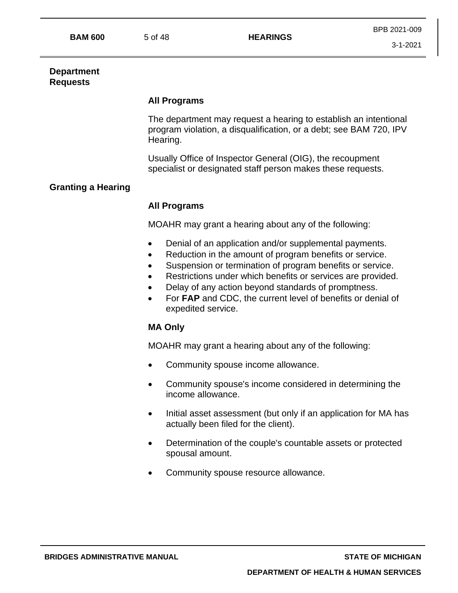## **Department Requests**

## **All Programs**

The department may request a hearing to establish an intentional program violation, a disqualification, or a debt; see BAM 720, IPV Hearing.

Usually Office of Inspector General (OIG), the recoupment specialist or designated staff person makes these requests.

# **Granting a Hearing**

## **All Programs**

MOAHR may grant a hearing about any of the following:

- Denial of an application and/or supplemental payments.
- Reduction in the amount of program benefits or service.
- Suspension or termination of program benefits or service.
- Restrictions under which benefits or services are provided.
- Delay of any action beyond standards of promptness.
- For **FAP** and CDC, the current level of benefits or denial of expedited service.

## **MA Only**

MOAHR may grant a hearing about any of the following:

- Community spouse income allowance.
- Community spouse's income considered in determining the income allowance.
- Initial asset assessment (but only if an application for MA has actually been filed for the client).
- Determination of the couple's countable assets or protected spousal amount.
- Community spouse resource allowance.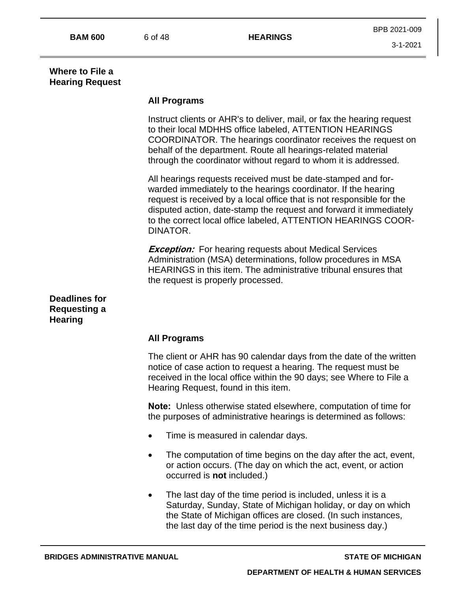## **Where to File a Hearing Request**

## **All Programs**

Instruct clients or AHR's to deliver, mail, or fax the hearing request to their local MDHHS office labeled, ATTENTION HEARINGS COORDINATOR. The hearings coordinator receives the request on behalf of the department. Route all hearings-related material through the coordinator without regard to whom it is addressed.

All hearings requests received must be date-stamped and forwarded immediately to the hearings coordinator. If the hearing request is received by a local office that is not responsible for the disputed action, date-stamp the request and forward it immediately to the correct local office labeled, ATTENTION HEARINGS COOR-DINATOR.

**Exception:** For hearing requests about Medical Services Administration (MSA) determinations, follow procedures in MSA HEARINGS in this item. The administrative tribunal ensures that the request is properly processed.

## **Deadlines for Requesting a Hearing**

## **All Programs**

The client or AHR has 90 calendar days from the date of the written notice of case action to request a hearing. The request must be received in the local office within the 90 days; see Where to File a Hearing Request, found in this item.

**Note:** Unless otherwise stated elsewhere, computation of time for the purposes of administrative hearings is determined as follows:

- Time is measured in calendar days.
- The computation of time begins on the day after the act, event, or action occurs. (The day on which the act, event, or action occurred is **not** included.)
- The last day of the time period is included, unless it is a Saturday, Sunday, State of Michigan holiday, or day on which the State of Michigan offices are closed. (In such instances, the last day of the time period is the next business day.)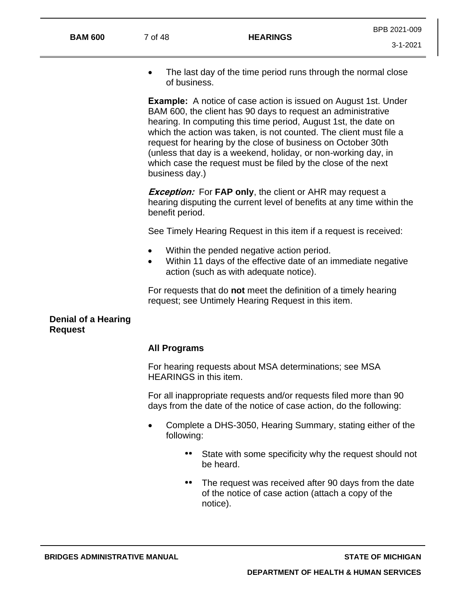3-1-2021

• The last day of the time period runs through the normal close of business.

**Example:** A notice of case action is issued on August 1st. Under BAM 600, the client has 90 days to request an administrative hearing. In computing this time period, August 1st, the date on which the action was taken, is not counted. The client must file a request for hearing by the close of business on October 30th (unless that day is a weekend, holiday, or non-working day, in which case the request must be filed by the close of the next business day.)

**Exception:** For **FAP only**, the client or AHR may request a hearing disputing the current level of benefits at any time within the benefit period.

See Timely Hearing Request in this item if a request is received:

- Within the pended negative action period.
- Within 11 days of the effective date of an immediate negative action (such as with adequate notice).

For requests that do **not** meet the definition of a timely hearing request; see Untimely Hearing Request in this item.

#### **Denial of a Hearing Request**

#### **All Programs**

For hearing requests about MSA determinations; see MSA HEARINGS in this item.

For all inappropriate requests and/or requests filed more than 90 days from the date of the notice of case action, do the following:

- Complete a DHS-3050, Hearing Summary, stating either of the following:
	- State with some specificity why the request should not be heard.
	- The request was received after 90 days from the date of the notice of case action (attach a copy of the notice).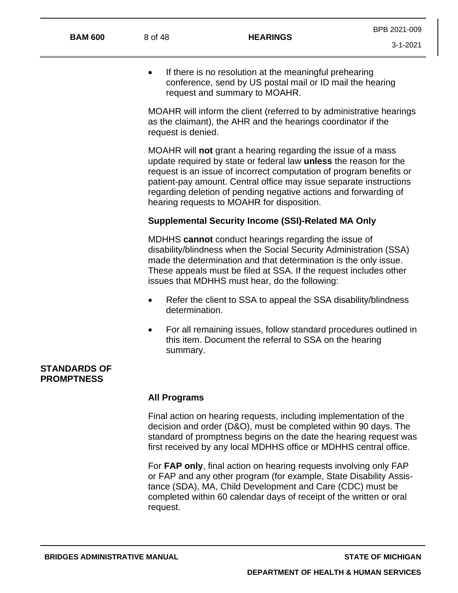• If there is no resolution at the meaningful prehearing conference, send by US postal mail or ID mail the hearing request and summary to MOAHR.

MOAHR will inform the client (referred to by administrative hearings as the claimant), the AHR and the hearings coordinator if the request is denied.

MOAHR will **not** grant a hearing regarding the issue of a mass update required by state or federal law **unless** the reason for the request is an issue of incorrect computation of program benefits or patient-pay amount. Central office may issue separate instructions regarding deletion of pending negative actions and forwarding of hearing requests to MOAHR for disposition.

## **Supplemental Security Income (SSI)-Related MA Only**

MDHHS **cannot** conduct hearings regarding the issue of disability/blindness when the Social Security Administration (SSA) made the determination and that determination is the only issue. These appeals must be filed at SSA. If the request includes other issues that MDHHS must hear, do the following:

- Refer the client to SSA to appeal the SSA disability/blindness determination.
- For all remaining issues, follow standard procedures outlined in this item. Document the referral to SSA on the hearing summary.

## **STANDARDS OF PROMPTNESS**

#### **All Programs**

Final action on hearing requests, including implementation of the decision and order (D&O), must be completed within 90 days. The standard of promptness begins on the date the hearing request was first received by any local MDHHS office or MDHHS central office.

For **FAP only**, final action on hearing requests involving only FAP or FAP and any other program (for example, State Disability Assistance (SDA), MA, Child Development and Care (CDC) must be completed within 60 calendar days of receipt of the written or oral request.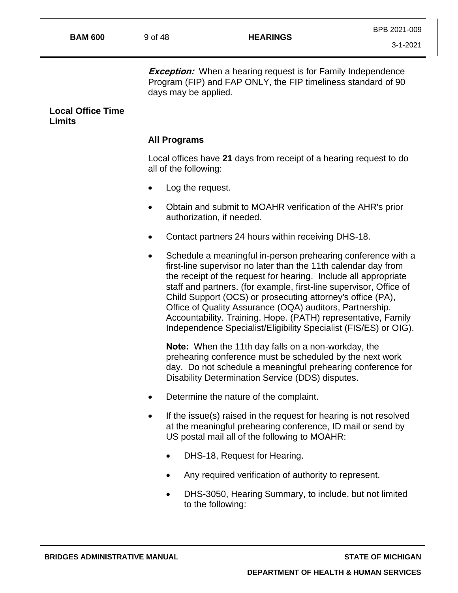**Exception:** When a hearing request is for Family Independence Program (FIP) and FAP ONLY, the FIP timeliness standard of 90 days may be applied.

#### **Local Office Time Limits**

## **All Programs**

Local offices have **21** days from receipt of a hearing request to do all of the following:

- Log the request.
- Obtain and submit to MOAHR verification of the AHR's prior authorization, if needed.
- Contact partners 24 hours within receiving DHS-18.
- Schedule a meaningful in-person prehearing conference with a first-line supervisor no later than the 11th calendar day from the receipt of the request for hearing. Include all appropriate staff and partners. (for example, first-line supervisor, Office of Child Support (OCS) or prosecuting attorney's office (PA), Office of Quality Assurance (OQA) auditors, Partnership. Accountability. Training. Hope. (PATH) representative, Family Independence Specialist/Eligibility Specialist (FIS/ES) or OIG).

**Note:** When the 11th day falls on a non-workday, the prehearing conference must be scheduled by the next work day. Do not schedule a meaningful prehearing conference for Disability Determination Service (DDS) disputes.

- Determine the nature of the complaint.
- If the issue(s) raised in the request for hearing is not resolved at the meaningful prehearing conference, ID mail or send by US postal mail all of the following to MOAHR:
	- DHS-18, Request for Hearing.
	- Any required verification of authority to represent.
	- DHS-3050, Hearing Summary, to include, but not limited to the following: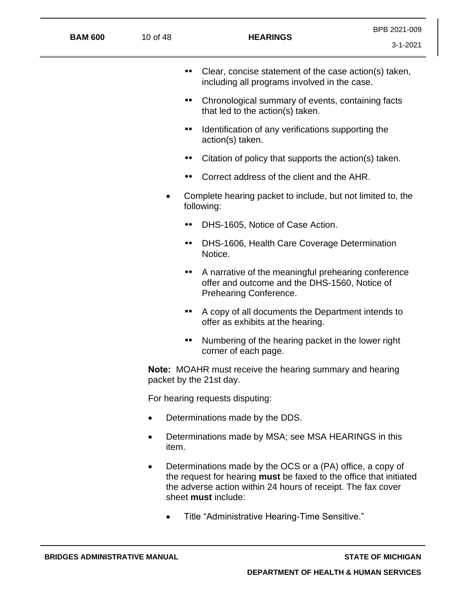| <b>BAM 600</b> | 10 of 48                                                                                   |                                 | <b>HEARINGS</b>                                                                                                                                                                                                         | BPB 2021-009<br>$3 - 1 - 2021$ |
|----------------|--------------------------------------------------------------------------------------------|---------------------------------|-------------------------------------------------------------------------------------------------------------------------------------------------------------------------------------------------------------------------|--------------------------------|
|                |                                                                                            |                                 | Clear, concise statement of the case action(s) taken,<br>including all programs involved in the case.                                                                                                                   |                                |
|                |                                                                                            |                                 | Chronological summary of events, containing facts<br>that led to the action(s) taken.                                                                                                                                   |                                |
|                |                                                                                            |                                 | Identification of any verifications supporting the<br>action(s) taken.                                                                                                                                                  |                                |
|                |                                                                                            |                                 | Citation of policy that supports the action(s) taken.                                                                                                                                                                   |                                |
|                |                                                                                            |                                 | Correct address of the client and the AHR.                                                                                                                                                                              |                                |
|                |                                                                                            |                                 | Complete hearing packet to include, but not limited to, the<br>following:                                                                                                                                               |                                |
|                |                                                                                            |                                 | DHS-1605, Notice of Case Action.                                                                                                                                                                                        |                                |
|                |                                                                                            |                                 | DHS-1606, Health Care Coverage Determination<br>Notice.                                                                                                                                                                 |                                |
|                |                                                                                            |                                 | A narrative of the meaningful prehearing conference<br>offer and outcome and the DHS-1560, Notice of<br>Prehearing Conference.                                                                                          |                                |
|                |                                                                                            |                                 | A copy of all documents the Department intends to<br>offer as exhibits at the hearing.                                                                                                                                  |                                |
|                |                                                                                            |                                 | Numbering of the hearing packet in the lower right<br>corner of each page.                                                                                                                                              |                                |
|                | <b>Note:</b> MOAHR must receive the hearing summary and hearing<br>packet by the 21st day. |                                 |                                                                                                                                                                                                                         |                                |
|                | For hearing requests disputing:                                                            |                                 |                                                                                                                                                                                                                         |                                |
|                | $\bullet$                                                                                  | Determinations made by the DDS. |                                                                                                                                                                                                                         |                                |
|                | item.                                                                                      |                                 | Determinations made by MSA; see MSA HEARINGS in this                                                                                                                                                                    |                                |
|                | ٠                                                                                          |                                 | Determinations made by the OCS or a (PA) office, a copy of<br>the request for hearing must be faxed to the office that initiated<br>the adverse action within 24 hours of receipt. The fax cover<br>sheet must include: |                                |
|                |                                                                                            |                                 | Title "Administrative Hearing-Time Sensitive."                                                                                                                                                                          |                                |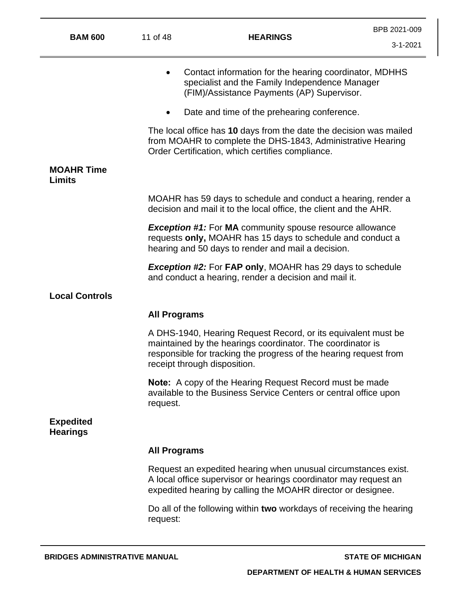| <b>BAM 600</b>                      | 11 of 48            | <b>HEARINGS</b>                                                                                                                                                                                                                  |          |  |  |
|-------------------------------------|---------------------|----------------------------------------------------------------------------------------------------------------------------------------------------------------------------------------------------------------------------------|----------|--|--|
|                                     |                     |                                                                                                                                                                                                                                  | 3-1-2021 |  |  |
|                                     |                     | Contact information for the hearing coordinator, MDHHS<br>specialist and the Family Independence Manager<br>(FIM)/Assistance Payments (AP) Supervisor.                                                                           |          |  |  |
|                                     |                     | Date and time of the prehearing conference.                                                                                                                                                                                      |          |  |  |
|                                     |                     | The local office has 10 days from the date the decision was mailed<br>from MOAHR to complete the DHS-1843, Administrative Hearing<br>Order Certification, which certifies compliance.                                            |          |  |  |
| <b>MOAHR Time</b><br><b>Limits</b>  |                     |                                                                                                                                                                                                                                  |          |  |  |
|                                     |                     | MOAHR has 59 days to schedule and conduct a hearing, render a<br>decision and mail it to the local office, the client and the AHR.                                                                                               |          |  |  |
|                                     |                     | <b>Exception #1:</b> For MA community spouse resource allowance<br>requests only, MOAHR has 15 days to schedule and conduct a<br>hearing and 50 days to render and mail a decision.                                              |          |  |  |
|                                     |                     | <b>Exception #2: For FAP only, MOAHR has 29 days to schedule</b><br>and conduct a hearing, render a decision and mail it.                                                                                                        |          |  |  |
| <b>Local Controls</b>               |                     |                                                                                                                                                                                                                                  |          |  |  |
|                                     | <b>All Programs</b> |                                                                                                                                                                                                                                  |          |  |  |
|                                     |                     | A DHS-1940, Hearing Request Record, or its equivalent must be<br>maintained by the hearings coordinator. The coordinator is<br>responsible for tracking the progress of the hearing request from<br>receipt through disposition. |          |  |  |
|                                     | request.            | <b>Note:</b> A copy of the Hearing Request Record must be made<br>available to the Business Service Centers or central office upon                                                                                               |          |  |  |
| <b>Expedited</b><br><b>Hearings</b> |                     |                                                                                                                                                                                                                                  |          |  |  |
|                                     | <b>All Programs</b> |                                                                                                                                                                                                                                  |          |  |  |
|                                     |                     | Request an expedited hearing when unusual circumstances exist.<br>A local office supervisor or hearings coordinator may request an<br>expedited hearing by calling the MOAHR director or designee.                               |          |  |  |
|                                     | request:            | Do all of the following within two workdays of receiving the hearing                                                                                                                                                             |          |  |  |
|                                     |                     |                                                                                                                                                                                                                                  |          |  |  |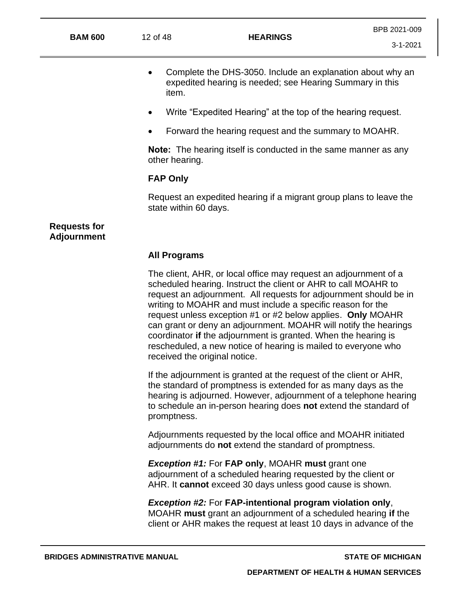- Complete the DHS-3050. Include an explanation about why an expedited hearing is needed; see Hearing Summary in this item.
- Write "Expedited Hearing" at the top of the hearing request.
- Forward the hearing request and the summary to MOAHR.

**Note:** The hearing itself is conducted in the same manner as any other hearing.

#### **FAP Only**

Request an expedited hearing if a migrant group plans to leave the state within 60 days.

## **Requests for Adjournment**

## **All Programs**

The client, AHR, or local office may request an adjournment of a scheduled hearing. Instruct the client or AHR to call MOAHR to request an adjournment. All requests for adjournment should be in writing to MOAHR and must include a specific reason for the request unless exception #1 or #2 below applies. **Only** MOAHR can grant or deny an adjournment. MOAHR will notify the hearings coordinator **if** the adjournment is granted. When the hearing is rescheduled, a new notice of hearing is mailed to everyone who received the original notice.

If the adjournment is granted at the request of the client or AHR, the standard of promptness is extended for as many days as the hearing is adjourned. However, adjournment of a telephone hearing to schedule an in-person hearing does **not** extend the standard of promptness.

Adjournments requested by the local office and MOAHR initiated adjournments do **not** extend the standard of promptness.

*Exception #1:* For **FAP only**, MOAHR **must** grant one adjournment of a scheduled hearing requested by the client or AHR. It **cannot** exceed 30 days unless good cause is shown.

*Exception #2:* For **FAP-intentional program violation only**, MOAHR **must** grant an adjournment of a scheduled hearing **if** the client or AHR makes the request at least 10 days in advance of the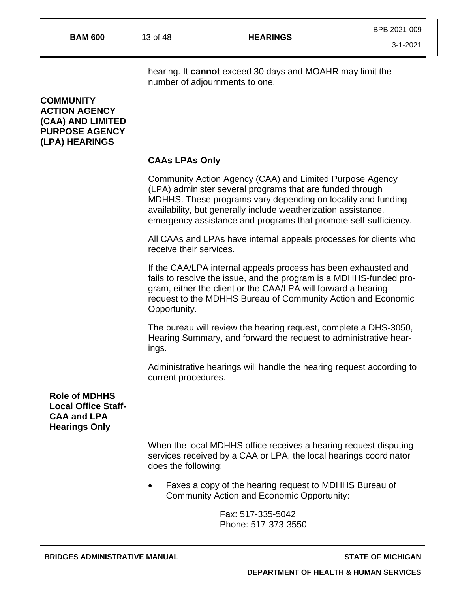hearing. It **cannot** exceed 30 days and MOAHR may limit the number of adjournments to one.

## **COMMUNITY ACTION AGENCY (CAA) AND LIMITED PURPOSE AGENCY (LPA) HEARINGS**

## **CAAs LPAs Only**

Community Action Agency (CAA) and Limited Purpose Agency (LPA) administer several programs that are funded through MDHHS. These programs vary depending on locality and funding availability, but generally include weatherization assistance, emergency assistance and programs that promote self-sufficiency.

All CAAs and LPAs have internal appeals processes for clients who receive their services.

If the CAA/LPA internal appeals process has been exhausted and fails to resolve the issue, and the program is a MDHHS-funded program, either the client or the CAA/LPA will forward a hearing request to the MDHHS Bureau of Community Action and Economic Opportunity.

The bureau will review the hearing request, complete a DHS-3050, Hearing Summary, and forward the request to administrative hearings.

Administrative hearings will handle the hearing request according to current procedures.

**Role of MDHHS Local Office Staff-CAA and LPA Hearings Only**

> When the local MDHHS office receives a hearing request disputing services received by a CAA or LPA, the local hearings coordinator does the following:

• Faxes a copy of the hearing request to MDHHS Bureau of Community Action and Economic Opportunity:

> Fax: 517-335-5042 Phone: 517-373-3550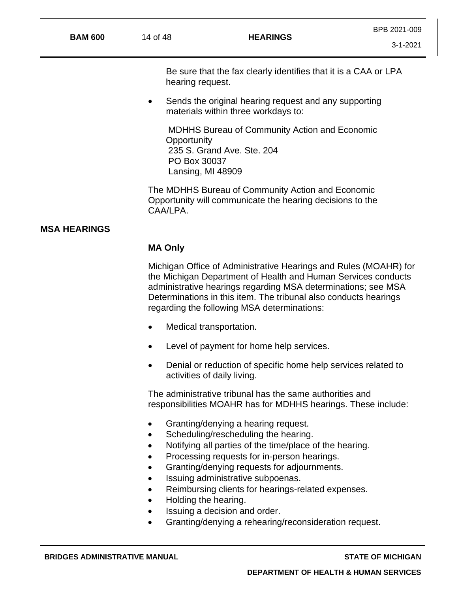Be sure that the fax clearly identifies that it is a CAA or LPA hearing request.

• Sends the original hearing request and any supporting materials within three workdays to:

MDHHS Bureau of Community Action and Economic **Opportunity** 235 S. Grand Ave. Ste. 204 PO Box 30037 Lansing, MI 48909

The MDHHS Bureau of Community Action and Economic Opportunity will communicate the hearing decisions to the CAA/LPA.

## **MSA HEARINGS**

#### **MA Only**

Michigan Office of Administrative Hearings and Rules (MOAHR) for the Michigan Department of Health and Human Services conducts administrative hearings regarding MSA determinations; see MSA Determinations in this item. The tribunal also conducts hearings regarding the following MSA determinations:

- Medical transportation.
- Level of payment for home help services.
- Denial or reduction of specific home help services related to activities of daily living.

The administrative tribunal has the same authorities and responsibilities MOAHR has for MDHHS hearings. These include:

- Granting/denying a hearing request.
- Scheduling/rescheduling the hearing.
- Notifying all parties of the time/place of the hearing.
- Processing requests for in-person hearings.
- Granting/denying requests for adjournments.
- Issuing administrative subpoenas.
- Reimbursing clients for hearings-related expenses.
- Holding the hearing.
- Issuing a decision and order.
- Granting/denying a rehearing/reconsideration request.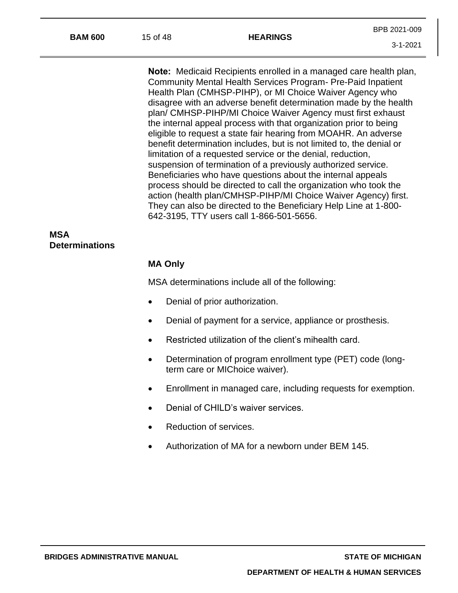| <b>BAM 600</b>                      | 15 of 48                                                                                                                                                                                                                                                                                                                                                                                                                                                                                                                                                                                                                                                                                                                                                                                                                                                                                                                                                                                                      | <b>HEARINGS</b>                                                                              | BPB 2021-009   |  |  |
|-------------------------------------|---------------------------------------------------------------------------------------------------------------------------------------------------------------------------------------------------------------------------------------------------------------------------------------------------------------------------------------------------------------------------------------------------------------------------------------------------------------------------------------------------------------------------------------------------------------------------------------------------------------------------------------------------------------------------------------------------------------------------------------------------------------------------------------------------------------------------------------------------------------------------------------------------------------------------------------------------------------------------------------------------------------|----------------------------------------------------------------------------------------------|----------------|--|--|
|                                     |                                                                                                                                                                                                                                                                                                                                                                                                                                                                                                                                                                                                                                                                                                                                                                                                                                                                                                                                                                                                               |                                                                                              | $3 - 1 - 2021$ |  |  |
|                                     | <b>Note:</b> Medicaid Recipients enrolled in a managed care health plan,<br>Community Mental Health Services Program- Pre-Paid Inpatient<br>Health Plan (CMHSP-PIHP), or MI Choice Waiver Agency who<br>disagree with an adverse benefit determination made by the health<br>plan/ CMHSP-PIHP/MI Choice Waiver Agency must first exhaust<br>the internal appeal process with that organization prior to being<br>eligible to request a state fair hearing from MOAHR. An adverse<br>benefit determination includes, but is not limited to, the denial or<br>limitation of a requested service or the denial, reduction,<br>suspension of termination of a previously authorized service.<br>Beneficiaries who have questions about the internal appeals<br>process should be directed to call the organization who took the<br>action (health plan/CMHSP-PIHP/MI Choice Waiver Agency) first.<br>They can also be directed to the Beneficiary Help Line at 1-800-<br>642-3195, TTY users call 1-866-501-5656. |                                                                                              |                |  |  |
| <b>MSA</b><br><b>Determinations</b> |                                                                                                                                                                                                                                                                                                                                                                                                                                                                                                                                                                                                                                                                                                                                                                                                                                                                                                                                                                                                               |                                                                                              |                |  |  |
|                                     | <b>MA Only</b>                                                                                                                                                                                                                                                                                                                                                                                                                                                                                                                                                                                                                                                                                                                                                                                                                                                                                                                                                                                                |                                                                                              |                |  |  |
|                                     | MSA determinations include all of the following:                                                                                                                                                                                                                                                                                                                                                                                                                                                                                                                                                                                                                                                                                                                                                                                                                                                                                                                                                              |                                                                                              |                |  |  |
|                                     |                                                                                                                                                                                                                                                                                                                                                                                                                                                                                                                                                                                                                                                                                                                                                                                                                                                                                                                                                                                                               | Denial of prior authorization.                                                               |                |  |  |
|                                     |                                                                                                                                                                                                                                                                                                                                                                                                                                                                                                                                                                                                                                                                                                                                                                                                                                                                                                                                                                                                               | Denial of payment for a service, appliance or prosthesis.                                    |                |  |  |
|                                     |                                                                                                                                                                                                                                                                                                                                                                                                                                                                                                                                                                                                                                                                                                                                                                                                                                                                                                                                                                                                               | Restricted utilization of the client's mihealth card.                                        |                |  |  |
|                                     | $\bullet$                                                                                                                                                                                                                                                                                                                                                                                                                                                                                                                                                                                                                                                                                                                                                                                                                                                                                                                                                                                                     | Determination of program enrollment type (PET) code (long-<br>term care or MIChoice waiver). |                |  |  |

- Enrollment in managed care, including requests for exemption.
- Denial of CHILD's waiver services.
- Reduction of services.
- Authorization of MA for a newborn under BEM 145.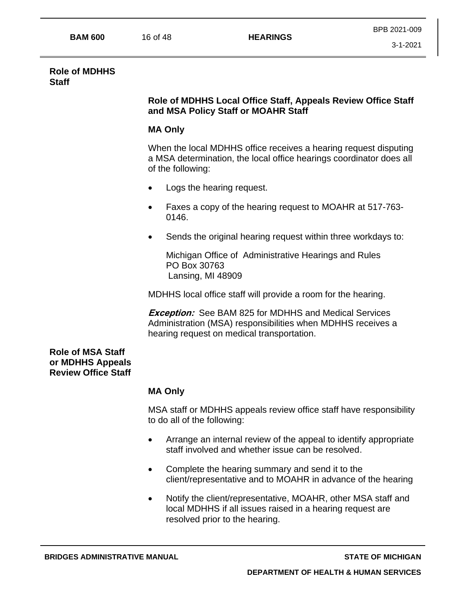#### **Role of MDHHS Staff**

## **Role of MDHHS Local Office Staff, Appeals Review Office Staff and MSA Policy Staff or MOAHR Staff**

# **MA Only**

When the local MDHHS office receives a hearing request disputing a MSA determination, the local office hearings coordinator does all of the following:

- Logs the hearing request.
- Faxes a copy of the hearing request to MOAHR at 517-763- 0146.
- Sends the original hearing request within three workdays to:

Michigan Office of Administrative Hearings and Rules PO Box 30763 Lansing, MI 48909

MDHHS local office staff will provide a room for the hearing.

**Exception:** See BAM 825 for MDHHS and Medical Services Administration (MSA) responsibilities when MDHHS receives a hearing request on medical transportation.

**Role of MSA Staff or MDHHS Appeals Review Office Staff**

## **MA Only**

MSA staff or MDHHS appeals review office staff have responsibility to do all of the following:

- Arrange an internal review of the appeal to identify appropriate staff involved and whether issue can be resolved.
- Complete the hearing summary and send it to the client/representative and to MOAHR in advance of the hearing
- Notify the client/representative, MOAHR, other MSA staff and local MDHHS if all issues raised in a hearing request are resolved prior to the hearing.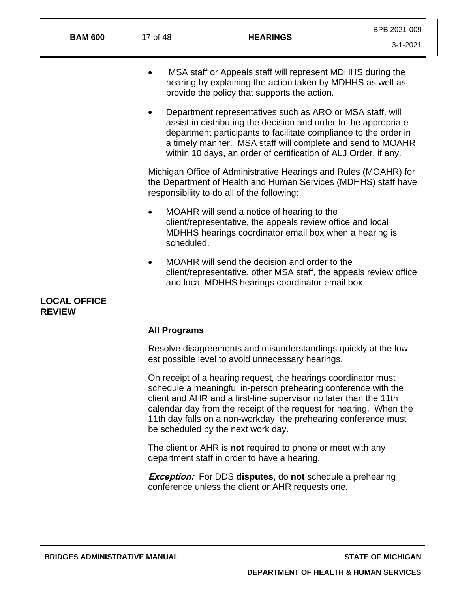| <b>BAM 600</b>                                                                                                       | 17 of 48                | <b>HEARINGS</b>                                                                                                                                                                                                                                                                                                                                                                      | BPB 2021-009<br>$3 - 1 - 2021$ |  |
|----------------------------------------------------------------------------------------------------------------------|-------------------------|--------------------------------------------------------------------------------------------------------------------------------------------------------------------------------------------------------------------------------------------------------------------------------------------------------------------------------------------------------------------------------------|--------------------------------|--|
|                                                                                                                      |                         | MSA staff or Appeals staff will represent MDHHS during the<br>hearing by explaining the action taken by MDHHS as well as<br>provide the policy that supports the action.                                                                                                                                                                                                             |                                |  |
|                                                                                                                      |                         | Department representatives such as ARO or MSA staff, will<br>assist in distributing the decision and order to the appropriate<br>department participants to facilitate compliance to the order in<br>a timely manner. MSA staff will complete and send to MOAHR<br>within 10 days, an order of certification of ALJ Order, if any.                                                   |                                |  |
|                                                                                                                      |                         | Michigan Office of Administrative Hearings and Rules (MOAHR) for<br>the Department of Health and Human Services (MDHHS) staff have<br>responsibility to do all of the following:                                                                                                                                                                                                     |                                |  |
|                                                                                                                      | $\bullet$<br>scheduled. | MOAHR will send a notice of hearing to the<br>client/representative, the appeals review office and local<br>MDHHS hearings coordinator email box when a hearing is                                                                                                                                                                                                                   |                                |  |
|                                                                                                                      | $\bullet$               | MOAHR will send the decision and order to the<br>client/representative, other MSA staff, the appeals review office<br>and local MDHHS hearings coordinator email box.                                                                                                                                                                                                                |                                |  |
| <b>LOCAL OFFICE</b><br><b>REVIEW</b>                                                                                 |                         |                                                                                                                                                                                                                                                                                                                                                                                      |                                |  |
|                                                                                                                      |                         | <b>All Programs</b>                                                                                                                                                                                                                                                                                                                                                                  |                                |  |
| Resolve disagreements and misunderstandings quickly at the low-<br>est possible level to avoid unnecessary hearings. |                         |                                                                                                                                                                                                                                                                                                                                                                                      |                                |  |
|                                                                                                                      |                         | On receipt of a hearing request, the hearings coordinator must<br>schedule a meaningful in-person prehearing conference with the<br>client and AHR and a first-line supervisor no later than the 11th<br>calendar day from the receipt of the request for hearing. When the<br>11th day falls on a non-workday, the prehearing conference must<br>be scheduled by the next work day. |                                |  |
|                                                                                                                      |                         | The client or AHR is <b>not</b> required to phone or meet with any<br>department staff in order to have a hearing.                                                                                                                                                                                                                                                                   |                                |  |

**Exception:** For DDS **disputes**, do **not** schedule a prehearing conference unless the client or AHR requests one.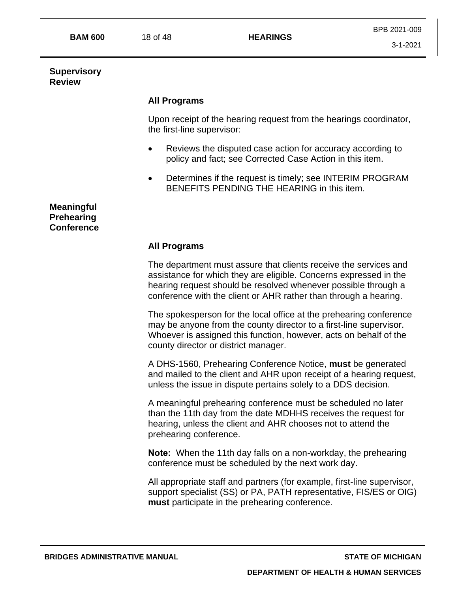**BAM 600** 18 of 48 **HEARINGS**

#### **Supervisory Review**

# **All Programs**

Upon receipt of the hearing request from the hearings coordinator, the first-line supervisor:

- Reviews the disputed case action for accuracy according to policy and fact; see Corrected Case Action in this item.
- Determines if the request is timely; see INTERIM PROGRAM BENEFITS PENDING THE HEARING in this item.

**Meaningful Prehearing Conference**

# **All Programs**

The department must assure that clients receive the services and assistance for which they are eligible. Concerns expressed in the hearing request should be resolved whenever possible through a conference with the client or AHR rather than through a hearing.

The spokesperson for the local office at the prehearing conference may be anyone from the county director to a first-line supervisor. Whoever is assigned this function, however, acts on behalf of the county director or district manager.

A DHS-1560, Prehearing Conference Notice, **must** be generated and mailed to the client and AHR upon receipt of a hearing request, unless the issue in dispute pertains solely to a DDS decision.

A meaningful prehearing conference must be scheduled no later than the 11th day from the date MDHHS receives the request for hearing, unless the client and AHR chooses not to attend the prehearing conference.

**Note:** When the 11th day falls on a non-workday, the prehearing conference must be scheduled by the next work day.

All appropriate staff and partners (for example, first-line supervisor, support specialist (SS) or PA, PATH representative, FIS/ES or OIG) **must** participate in the prehearing conference.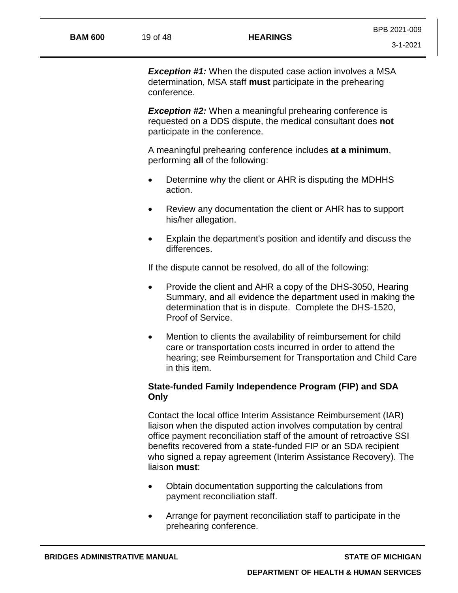**Exception #1:** When the disputed case action involves a MSA determination, MSA staff **must** participate in the prehearing conference.

**Exception #2:** When a meaningful prehearing conference is requested on a DDS dispute, the medical consultant does **not** participate in the conference.

A meaningful prehearing conference includes **at a minimum**, performing **all** of the following:

- Determine why the client or AHR is disputing the MDHHS action.
- Review any documentation the client or AHR has to support his/her allegation.
- Explain the department's position and identify and discuss the differences.

If the dispute cannot be resolved, do all of the following:

- Provide the client and AHR a copy of the DHS-3050, Hearing Summary, and all evidence the department used in making the determination that is in dispute. Complete the DHS-1520, Proof of Service.
- Mention to clients the availability of reimbursement for child care or transportation costs incurred in order to attend the hearing; see Reimbursement for Transportation and Child Care in this item.

# **State-funded Family Independence Program (FIP) and SDA Only**

Contact the local office Interim Assistance Reimbursement (IAR) liaison when the disputed action involves computation by central office payment reconciliation staff of the amount of retroactive SSI benefits recovered from a state-funded FIP or an SDA recipient who signed a repay agreement (Interim Assistance Recovery). The liaison **must**:

- Obtain documentation supporting the calculations from payment reconciliation staff.
- Arrange for payment reconciliation staff to participate in the prehearing conference.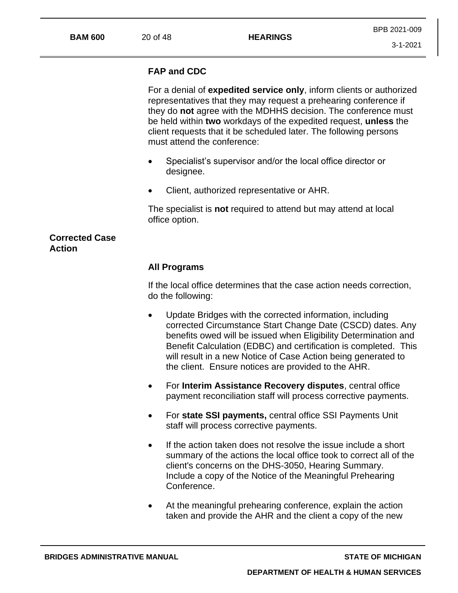#### **BAM 600** 20 of 48 **HEARINGS**

## **FAP and CDC**

For a denial of **expedited service only**, inform clients or authorized representatives that they may request a prehearing conference if they do **not** agree with the MDHHS decision. The conference must be held within **two** workdays of the expedited request, **unless** the client requests that it be scheduled later. The following persons must attend the conference:

- Specialist's supervisor and/or the local office director or designee.
- Client, authorized representative or AHR.

The specialist is **not** required to attend but may attend at local office option.

## **Corrected Case Action**

#### **All Programs**

If the local office determines that the case action needs correction, do the following:

- Update Bridges with the corrected information, including corrected Circumstance Start Change Date (CSCD) dates. Any benefits owed will be issued when Eligibility Determination and Benefit Calculation (EDBC) and certification is completed. This will result in a new Notice of Case Action being generated to the client. Ensure notices are provided to the AHR.
- For **Interim Assistance Recovery disputes**, central office payment reconciliation staff will process corrective payments.
- For **state SSI payments,** central office SSI Payments Unit staff will process corrective payments.
- If the action taken does not resolve the issue include a short summary of the actions the local office took to correct all of the client's concerns on the DHS-3050, Hearing Summary. Include a copy of the Notice of the Meaningful Prehearing Conference.
- At the meaningful prehearing conference, explain the action taken and provide the AHR and the client a copy of the new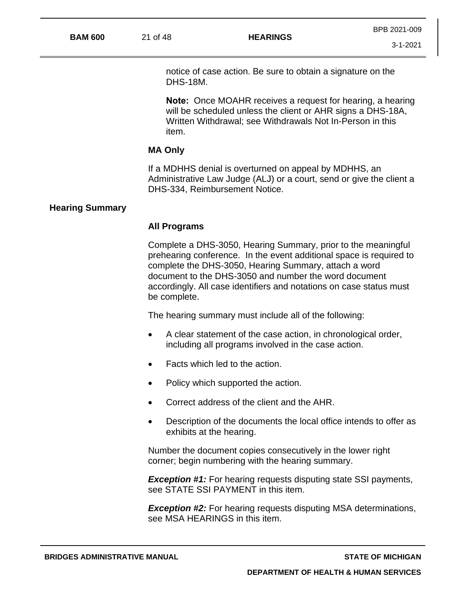notice of case action. Be sure to obtain a signature on the DHS-18M.

**Note:** Once MOAHR receives a request for hearing, a hearing will be scheduled unless the client or AHR signs a DHS-18A, Written Withdrawal; see Withdrawals Not In-Person in this item.

#### **MA Only**

If a MDHHS denial is overturned on appeal by MDHHS, an Administrative Law Judge (ALJ) or a court, send or give the client a DHS-334, Reimbursement Notice.

#### **Hearing Summary**

#### **All Programs**

Complete a DHS-3050, Hearing Summary, prior to the meaningful prehearing conference. In the event additional space is required to complete the DHS-3050, Hearing Summary, attach a word document to the DHS-3050 and number the word document accordingly. All case identifiers and notations on case status must be complete.

The hearing summary must include all of the following:

- A clear statement of the case action, in chronological order, including all programs involved in the case action.
- Facts which led to the action.
- Policy which supported the action.
- Correct address of the client and the AHR.
- Description of the documents the local office intends to offer as exhibits at the hearing.

Number the document copies consecutively in the lower right corner; begin numbering with the hearing summary.

**Exception #1:** For hearing requests disputing state SSI payments, see STATE SSI PAYMENT in this item.

**Exception #2:** For hearing requests disputing MSA determinations, see MSA HEARINGS in this item.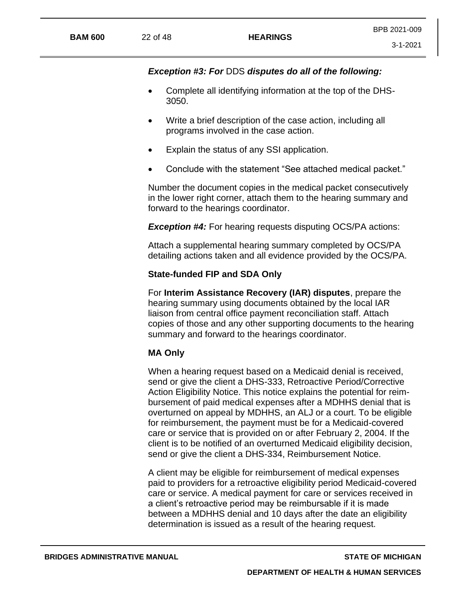3-1-2021

- Complete all identifying information at the top of the DHS-3050.
- Write a brief description of the case action, including all programs involved in the case action.
- Explain the status of any SSI application.
- Conclude with the statement "See attached medical packet."

Number the document copies in the medical packet consecutively in the lower right corner, attach them to the hearing summary and forward to the hearings coordinator.

**Exception #4:** For hearing requests disputing OCS/PA actions:

Attach a supplemental hearing summary completed by OCS/PA detailing actions taken and all evidence provided by the OCS/PA.

# **State-funded FIP and SDA Only**

For **Interim Assistance Recovery (IAR) disputes**, prepare the hearing summary using documents obtained by the local IAR liaison from central office payment reconciliation staff. Attach copies of those and any other supporting documents to the hearing summary and forward to the hearings coordinator.

# **MA Only**

When a hearing request based on a Medicaid denial is received, send or give the client a DHS-333, Retroactive Period/Corrective Action Eligibility Notice. This notice explains the potential for reimbursement of paid medical expenses after a MDHHS denial that is overturned on appeal by MDHHS, an ALJ or a court. To be eligible for reimbursement, the payment must be for a Medicaid-covered care or service that is provided on or after February 2, 2004. If the client is to be notified of an overturned Medicaid eligibility decision, send or give the client a DHS-334, Reimbursement Notice.

A client may be eligible for reimbursement of medical expenses paid to providers for a retroactive eligibility period Medicaid-covered care or service. A medical payment for care or services received in a client's retroactive period may be reimbursable if it is made between a MDHHS denial and 10 days after the date an eligibility determination is issued as a result of the hearing request.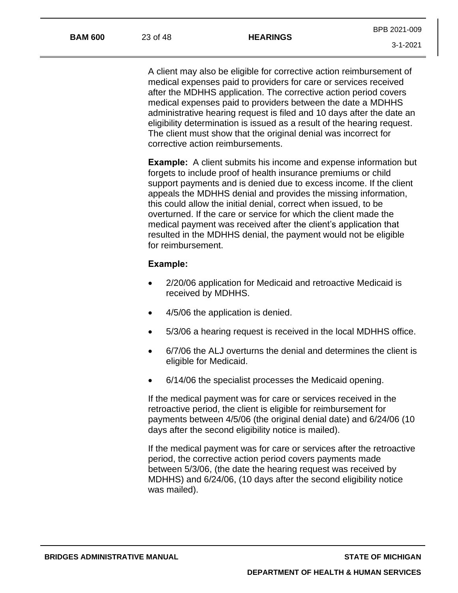A client may also be eligible for corrective action reimbursement of medical expenses paid to providers for care or services received after the MDHHS application. The corrective action period covers medical expenses paid to providers between the date a MDHHS administrative hearing request is filed and 10 days after the date an eligibility determination is issued as a result of the hearing request. The client must show that the original denial was incorrect for corrective action reimbursements.

**Example:** A client submits his income and expense information but forgets to include proof of health insurance premiums or child support payments and is denied due to excess income. If the client appeals the MDHHS denial and provides the missing information, this could allow the initial denial, correct when issued, to be overturned. If the care or service for which the client made the medical payment was received after the client's application that resulted in the MDHHS denial, the payment would not be eligible for reimbursement.

## **Example:**

- 2/20/06 application for Medicaid and retroactive Medicaid is received by MDHHS.
- 4/5/06 the application is denied.
- 5/3/06 a hearing request is received in the local MDHHS office.
- 6/7/06 the ALJ overturns the denial and determines the client is eligible for Medicaid.
- 6/14/06 the specialist processes the Medicaid opening.

If the medical payment was for care or services received in the retroactive period, the client is eligible for reimbursement for payments between 4/5/06 (the original denial date) and 6/24/06 (10 days after the second eligibility notice is mailed).

If the medical payment was for care or services after the retroactive period, the corrective action period covers payments made between 5/3/06, (the date the hearing request was received by MDHHS) and 6/24/06, (10 days after the second eligibility notice was mailed).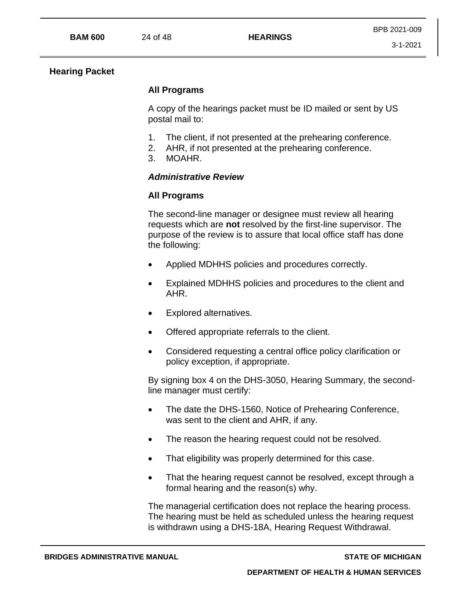## **Hearing Packet**

# **All Programs**

A copy of the hearings packet must be ID mailed or sent by US postal mail to:

- 1. The client, if not presented at the prehearing conference.
- 2. AHR, if not presented at the prehearing conference.
- 3. MOAHR.

# *Administrative Review*

# **All Programs**

The second-line manager or designee must review all hearing requests which are **not** resolved by the first-line supervisor. The purpose of the review is to assure that local office staff has done the following:

- Applied MDHHS policies and procedures correctly.
- Explained MDHHS policies and procedures to the client and AHR.
- Explored alternatives.
- Offered appropriate referrals to the client.
- Considered requesting a central office policy clarification or policy exception, if appropriate.

By signing box 4 on the DHS-3050, Hearing Summary, the secondline manager must certify:

- The date the DHS-1560, Notice of Prehearing Conference, was sent to the client and AHR, if any.
- The reason the hearing request could not be resolved.
- That eligibility was properly determined for this case.
- That the hearing request cannot be resolved, except through a formal hearing and the reason(s) why.

The managerial certification does not replace the hearing process. The hearing must be held as scheduled unless the hearing request is withdrawn using a DHS-18A, Hearing Request Withdrawal.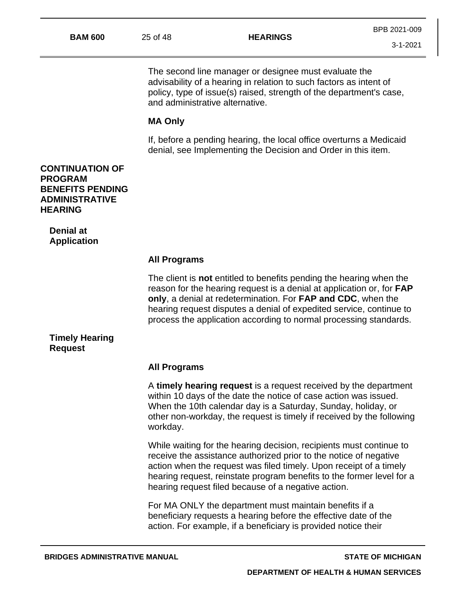The second line manager or designee must evaluate the advisability of a hearing in relation to such factors as intent of policy, type of issue(s) raised, strength of the department's case, and administrative alternative.

#### **MA Only**

If, before a pending hearing, the local office overturns a Medicaid denial, see Implementing the Decision and Order in this item.

**CONTINUATION OF PROGRAM BENEFITS PENDING ADMINISTRATIVE HEARING**

**Denial at Application**

#### **All Programs**

The client is **not** entitled to benefits pending the hearing when the reason for the hearing request is a denial at application or, for **FAP only**, a denial at redetermination. For **FAP and CDC**, when the hearing request disputes a denial of expedited service, continue to process the application according to normal processing standards.

## **Timely Hearing Request**

#### **All Programs**

A **timely hearing request** is a request received by the department within 10 days of the date the notice of case action was issued. When the 10th calendar day is a Saturday, Sunday, holiday, or other non-workday, the request is timely if received by the following workday.

While waiting for the hearing decision, recipients must continue to receive the assistance authorized prior to the notice of negative action when the request was filed timely. Upon receipt of a timely hearing request, reinstate program benefits to the former level for a hearing request filed because of a negative action.

For MA ONLY the department must maintain benefits if a beneficiary requests a hearing before the effective date of the action. For example, if a beneficiary is provided notice their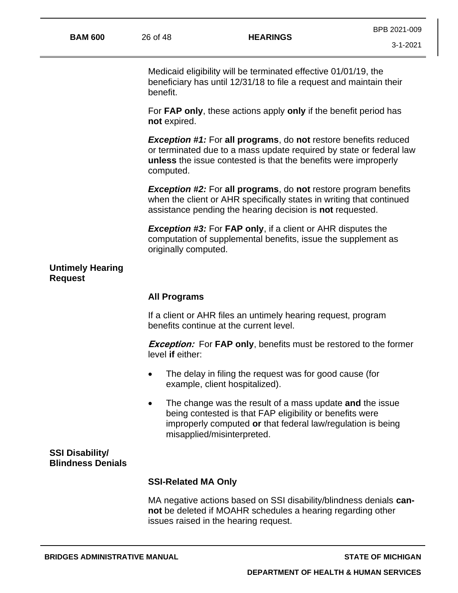Medicaid eligibility will be terminated effective 01/01/19, the beneficiary has until 12/31/18 to file a request and maintain their benefit.

For **FAP only**, these actions apply **only** if the benefit period has **not** expired.

*Exception #1:* For **all programs**, do **not** restore benefits reduced or terminated due to a mass update required by state or federal law **unless** the issue contested is that the benefits were improperly computed.

*Exception #2:* For **all programs**, do **not** restore program benefits when the client or AHR specifically states in writing that continued assistance pending the hearing decision is **not** requested.

*Exception #3:* For **FAP only**, if a client or AHR disputes the computation of supplemental benefits, issue the supplement as originally computed.

## **Untimely Hearing Request**

#### **All Programs**

If a client or AHR files an untimely hearing request, program benefits continue at the current level.

**Exception:** For **FAP only**, benefits must be restored to the former level **if** either:

- The delay in filing the request was for good cause (for example, client hospitalized).
- The change was the result of a mass update **and** the issue being contested is that FAP eligibility or benefits were improperly computed **or** that federal law/regulation is being misapplied/misinterpreted.

## **SSI Disability/ Blindness Denials**

## **SSI-Related MA Only**

MA negative actions based on SSI disability/blindness denials **cannot** be deleted if MOAHR schedules a hearing regarding other issues raised in the hearing request.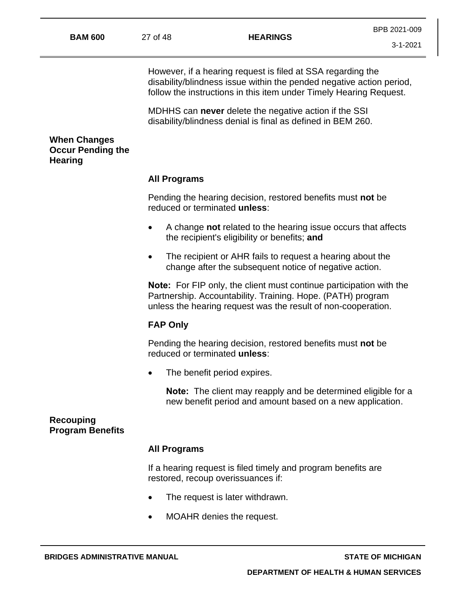However, if a hearing request is filed at SSA regarding the disability/blindness issue within the pended negative action period, follow the instructions in this item under Timely Hearing Request.

MDHHS can **never** delete the negative action if the SSI disability/blindness denial is final as defined in BEM 260.

## **When Changes Occur Pending the Hearing**

#### **All Programs**

Pending the hearing decision, restored benefits must **not** be reduced or terminated **unless**:

- A change **not** related to the hearing issue occurs that affects the recipient's eligibility or benefits; **and**
- The recipient or AHR fails to request a hearing about the change after the subsequent notice of negative action.

**Note:** For FIP only, the client must continue participation with the Partnership. Accountability. Training. Hope. (PATH) program unless the hearing request was the result of non-cooperation.

#### **FAP Only**

Pending the hearing decision, restored benefits must **not** be reduced or terminated **unless**:

• The benefit period expires.

**Note:** The client may reapply and be determined eligible for a new benefit period and amount based on a new application.

## **Recouping Program Benefits**

#### **All Programs**

If a hearing request is filed timely and program benefits are restored, recoup overissuances if:

- The request is later withdrawn.
- MOAHR denies the request.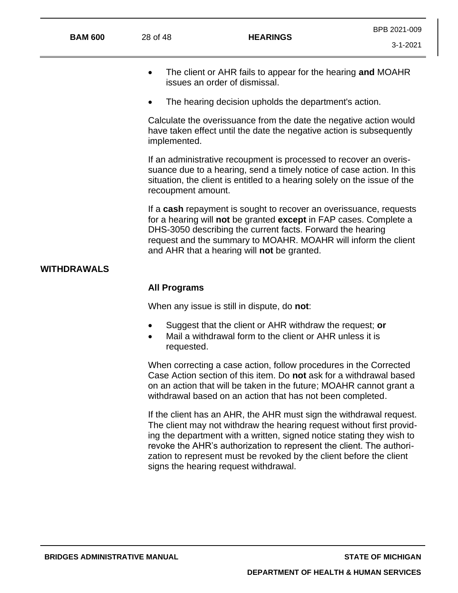- The client or AHR fails to appear for the hearing **and** MOAHR issues an order of dismissal.
- The hearing decision upholds the department's action.

Calculate the overissuance from the date the negative action would have taken effect until the date the negative action is subsequently implemented.

If an administrative recoupment is processed to recover an overissuance due to a hearing, send a timely notice of case action. In this situation, the client is entitled to a hearing solely on the issue of the recoupment amount.

If a **cash** repayment is sought to recover an overissuance, requests for a hearing will **not** be granted **except** in FAP cases. Complete a DHS-3050 describing the current facts. Forward the hearing request and the summary to MOAHR. MOAHR will inform the client and AHR that a hearing will **not** be granted.

## **WITHDRAWALS**

#### **All Programs**

When any issue is still in dispute, do **not**:

- Suggest that the client or AHR withdraw the request; **or**
- Mail a withdrawal form to the client or AHR unless it is requested.

When correcting a case action, follow procedures in the Corrected Case Action section of this item. Do **not** ask for a withdrawal based on an action that will be taken in the future; MOAHR cannot grant a withdrawal based on an action that has not been completed.

If the client has an AHR, the AHR must sign the withdrawal request. The client may not withdraw the hearing request without first providing the department with a written, signed notice stating they wish to revoke the AHR's authorization to represent the client. The authorization to represent must be revoked by the client before the client signs the hearing request withdrawal.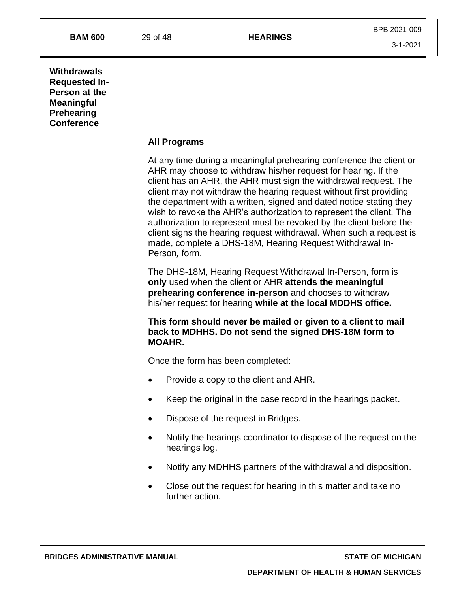## **Withdrawals Requested In-Person at the Meaningful Prehearing Conference**

#### **All Programs**

At any time during a meaningful prehearing conference the client or AHR may choose to withdraw his/her request for hearing. If the client has an AHR, the AHR must sign the withdrawal request. The client may not withdraw the hearing request without first providing the department with a written, signed and dated notice stating they wish to revoke the AHR's authorization to represent the client. The authorization to represent must be revoked by the client before the client signs the hearing request withdrawal. When such a request is made, complete a DHS-18M, Hearing Request Withdrawal In-Person*,* form.

The DHS-18M, Hearing Request Withdrawal In-Person, form is **only** used when the client or AHR **attends the meaningful prehearing conference in-person** and chooses to withdraw his/her request for hearing **while at the local MDDHS office.**

**This form should never be mailed or given to a client to mail back to MDHHS. Do not send the signed DHS-18M form to MOAHR.**

Once the form has been completed:

- Provide a copy to the client and AHR.
- Keep the original in the case record in the hearings packet.
- Dispose of the request in Bridges.
- Notify the hearings coordinator to dispose of the request on the hearings log.
- Notify any MDHHS partners of the withdrawal and disposition.
- Close out the request for hearing in this matter and take no further action.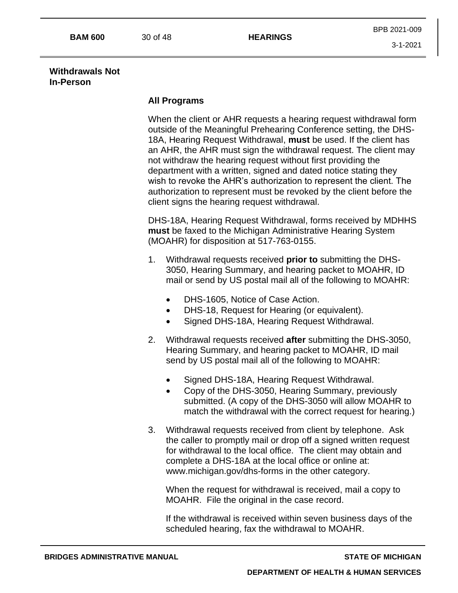#### **Withdrawals Not In-Person**

## **All Programs**

When the client or AHR requests a hearing request withdrawal form outside of the Meaningful Prehearing Conference setting, the DHS-18A, Hearing Request Withdrawal, **must** be used. If the client has an AHR, the AHR must sign the withdrawal request. The client may not withdraw the hearing request without first providing the department with a written, signed and dated notice stating they wish to revoke the AHR's authorization to represent the client. The authorization to represent must be revoked by the client before the client signs the hearing request withdrawal.

DHS-18A, Hearing Request Withdrawal, forms received by MDHHS **must** be faxed to the Michigan Administrative Hearing System (MOAHR) for disposition at 517-763-0155.

- 1. Withdrawal requests received **prior to** submitting the DHS-3050, Hearing Summary, and hearing packet to MOAHR, ID mail or send by US postal mail all of the following to MOAHR:
	- DHS-1605, Notice of Case Action.
	- DHS-18, Request for Hearing (or equivalent).
	- Signed DHS-18A, Hearing Request Withdrawal.
- 2. Withdrawal requests received **after** submitting the DHS-3050, Hearing Summary, and hearing packet to MOAHR, ID mail send by US postal mail all of the following to MOAHR:
	- Signed DHS-18A, Hearing Request Withdrawal.
	- Copy of the DHS-3050, Hearing Summary, previously submitted. (A copy of the DHS-3050 will allow MOAHR to match the withdrawal with the correct request for hearing.)
- 3. Withdrawal requests received from client by telephone. Ask the caller to promptly mail or drop off a signed written request for withdrawal to the local office. The client may obtain and complete a DHS-18A at the local office or online at: www.michigan.gov/dhs-forms in the other category.

When the request for withdrawal is received, mail a copy to MOAHR. File the original in the case record.

If the withdrawal is received within seven business days of the scheduled hearing, fax the withdrawal to MOAHR.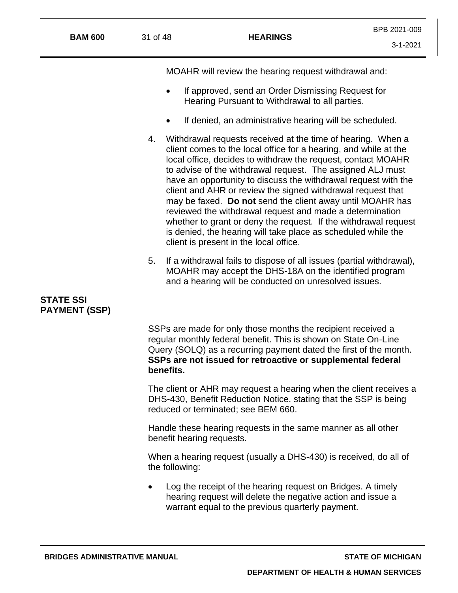| <b>BAM 600</b> | 31 of 48 | <b>HEARINGS</b> |
|----------------|----------|-----------------|
|                |          |                 |

MOAHR will review the hearing request withdrawal and:

- If approved, send an Order Dismissing Request for Hearing Pursuant to Withdrawal to all parties.
- If denied, an administrative hearing will be scheduled.
- 4. Withdrawal requests received at the time of hearing. When a client comes to the local office for a hearing, and while at the local office, decides to withdraw the request, contact MOAHR to advise of the withdrawal request. The assigned ALJ must have an opportunity to discuss the withdrawal request with the client and AHR or review the signed withdrawal request that may be faxed. **Do not** send the client away until MOAHR has reviewed the withdrawal request and made a determination whether to grant or deny the request. If the withdrawal request is denied, the hearing will take place as scheduled while the client is present in the local office.
- 5. If a withdrawal fails to dispose of all issues (partial withdrawal), MOAHR may accept the DHS-18A on the identified program and a hearing will be conducted on unresolved issues.

# **STATE SSI PAYMENT (SSP)**

SSPs are made for only those months the recipient received a regular monthly federal benefit. This is shown on State On-Line Query (SOLQ) as a recurring payment dated the first of the month. **SSPs are not issued for retroactive or supplemental federal benefits.**

The client or AHR may request a hearing when the client receives a DHS-430, Benefit Reduction Notice, stating that the SSP is being reduced or terminated; see BEM 660.

Handle these hearing requests in the same manner as all other benefit hearing requests.

When a hearing request (usually a DHS-430) is received, do all of the following:

• Log the receipt of the hearing request on Bridges. A timely hearing request will delete the negative action and issue a warrant equal to the previous quarterly payment.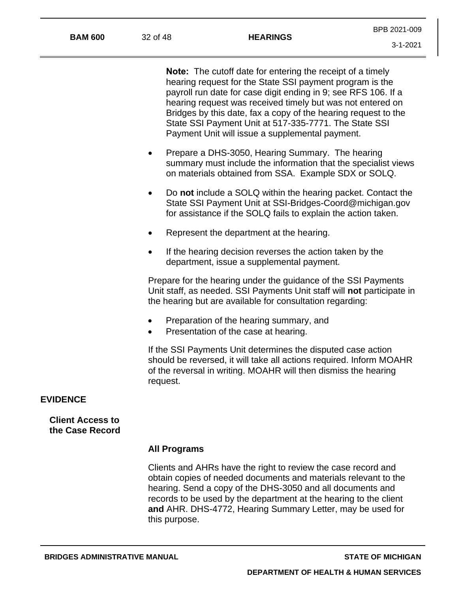**Note:** The cutoff date for entering the receipt of a timely hearing request for the State SSI payment program is the payroll run date for case digit ending in 9; see RFS 106. If a hearing request was received timely but was not entered on Bridges by this date, fax a copy of the hearing request to the State SSI Payment Unit at 517-335-7771. The State SSI Payment Unit will issue a supplemental payment.

- Prepare a DHS-3050, Hearing Summary. The hearing summary must include the information that the specialist views on materials obtained from SSA. Example SDX or SOLQ.
- Do **not** include a SOLQ within the hearing packet. Contact the State SSI Payment Unit at [SSI-Bridges-Coord@michigan.gov](mailto:SSI-Bridges-Coord@michigan.gov) for assistance if the SOLQ fails to explain the action taken.
- Represent the department at the hearing.
- If the hearing decision reverses the action taken by the department, issue a supplemental payment.

Prepare for the hearing under the guidance of the SSI Payments Unit staff, as needed. SSI Payments Unit staff will **not** participate in the hearing but are available for consultation regarding:

- Preparation of the hearing summary, and
- Presentation of the case at hearing.

If the SSI Payments Unit determines the disputed case action should be reversed, it will take all actions required. Inform MOAHR of the reversal in writing. MOAHR will then dismiss the hearing request.

#### **EVIDENCE**

**Client Access to the Case Record**

#### **All Programs**

Clients and AHRs have the right to review the case record and obtain copies of needed documents and materials relevant to the hearing. Send a copy of the DHS-3050 and all documents and records to be used by the department at the hearing to the client **and** AHR. DHS-4772, Hearing Summary Letter, may be used for this purpose.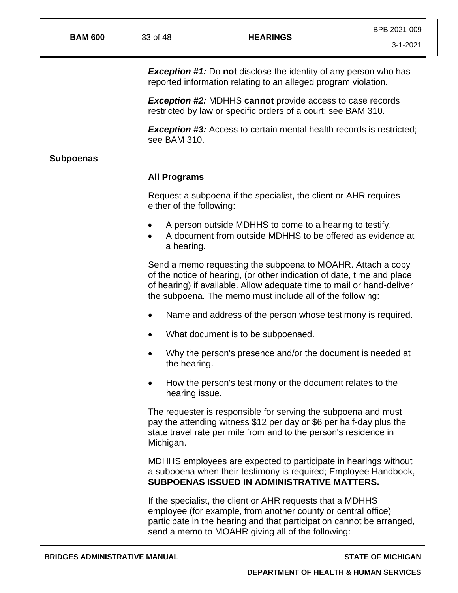*Exception #1:* Do **not** disclose the identity of any person who has reported information relating to an alleged program violation.

*Exception #2:* MDHHS **cannot** provide access to case records restricted by law or specific orders of a court; see BAM 310.

**Exception #3:** Access to certain mental health records is restricted; see BAM 310.

#### **Subpoenas**

#### **All Programs**

Request a subpoena if the specialist, the client or AHR requires either of the following:

- A person outside MDHHS to come to a hearing to testify.
- A document from outside MDHHS to be offered as evidence at a hearing.

Send a memo requesting the subpoena to MOAHR. Attach a copy of the notice of hearing, (or other indication of date, time and place of hearing) if available. Allow adequate time to mail or hand-deliver the subpoena. The memo must include all of the following:

- Name and address of the person whose testimony is required.
- What document is to be subpoenaed.
- Why the person's presence and/or the document is needed at the hearing.
- How the person's testimony or the document relates to the hearing issue.

The requester is responsible for serving the subpoena and must pay the attending witness \$12 per day or \$6 per half-day plus the state travel rate per mile from and to the person's residence in Michigan.

MDHHS employees are expected to participate in hearings without a subpoena when their testimony is required; Employee Handbook, **SUBPOENAS ISSUED IN ADMINISTRATIVE MATTERS.**

If the specialist, the client or AHR requests that a MDHHS employee (for example, from another county or central office) participate in the hearing and that participation cannot be arranged, send a memo to MOAHR giving all of the following: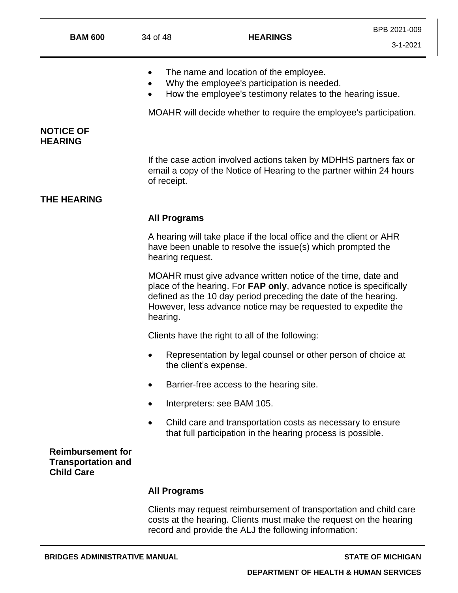- The name and location of the employee.
- Why the employee's participation is needed.
- How the employee's testimony relates to the hearing issue.

MOAHR will decide whether to require the employee's participation.

## **NOTICE OF HEARING**

If the case action involved actions taken by MDHHS partners fax or email a copy of the Notice of Hearing to the partner within 24 hours of receipt.

## **THE HEARING**

## **All Programs**

A hearing will take place if the local office and the client or AHR have been unable to resolve the issue(s) which prompted the hearing request.

MOAHR must give advance written notice of the time, date and place of the hearing. For **FAP only**, advance notice is specifically defined as the 10 day period preceding the date of the hearing. However, less advance notice may be requested to expedite the hearing.

Clients have the right to all of the following:

- Representation by legal counsel or other person of choice at the client's expense.
- Barrier-free access to the hearing site.
- Interpreters: see BAM 105.
- Child care and transportation costs as necessary to ensure that full participation in the hearing process is possible.

## **Reimbursement for Transportation and Child Care**

## **All Programs**

Clients may request reimbursement of transportation and child care costs at the hearing. Clients must make the request on the hearing record and provide the ALJ the following information: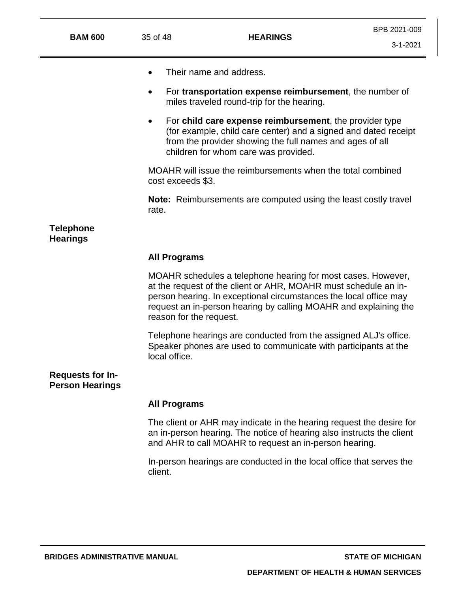| <b>BAM 600</b>                      | 35 of 48                                                                                                                                                                                                                                                                                            | <b>HEARINGS</b>                                                                                                                                                                                                                | BPB 2021-00<br>$3 - 1 - 202$ |  |
|-------------------------------------|-----------------------------------------------------------------------------------------------------------------------------------------------------------------------------------------------------------------------------------------------------------------------------------------------------|--------------------------------------------------------------------------------------------------------------------------------------------------------------------------------------------------------------------------------|------------------------------|--|
|                                     |                                                                                                                                                                                                                                                                                                     | Their name and address.                                                                                                                                                                                                        |                              |  |
|                                     | $\bullet$                                                                                                                                                                                                                                                                                           | For transportation expense reimbursement, the number of<br>miles traveled round-trip for the hearing.                                                                                                                          |                              |  |
|                                     |                                                                                                                                                                                                                                                                                                     | For child care expense reimbursement, the provider type<br>(for example, child care center) and a signed and dated receipt<br>from the provider showing the full names and ages of all<br>children for whom care was provided. |                              |  |
|                                     |                                                                                                                                                                                                                                                                                                     | MOAHR will issue the reimbursements when the total combined<br>cost exceeds \$3.                                                                                                                                               |                              |  |
|                                     | rate.                                                                                                                                                                                                                                                                                               | <b>Note:</b> Reimbursements are computed using the least costly travel                                                                                                                                                         |                              |  |
| <b>Telephone</b><br><b>Hearings</b> |                                                                                                                                                                                                                                                                                                     |                                                                                                                                                                                                                                |                              |  |
|                                     | <b>All Programs</b>                                                                                                                                                                                                                                                                                 |                                                                                                                                                                                                                                |                              |  |
|                                     | MOAHR schedules a telephone hearing for most cases. However,<br>at the request of the client or AHR, MOAHR must schedule an in-<br>person hearing. In exceptional circumstances the local office may<br>request an in-person hearing by calling MOAHR and explaining the<br>reason for the request. |                                                                                                                                                                                                                                |                              |  |
|                                     |                                                                                                                                                                                                                                                                                                     | Telephone hearings are conducted from the assigned ALJ's office.<br>Speaker phones are used to communicate with participants at the                                                                                            |                              |  |

**Requests for In-Person Hearings**

## **All Programs**

local office.

The client or AHR may indicate in the hearing request the desire for an in-person hearing. The notice of hearing also instructs the client and AHR to call MOAHR to request an in-person hearing.

In-person hearings are conducted in the local office that serves the client.

BPB 2021-009

3-1-2021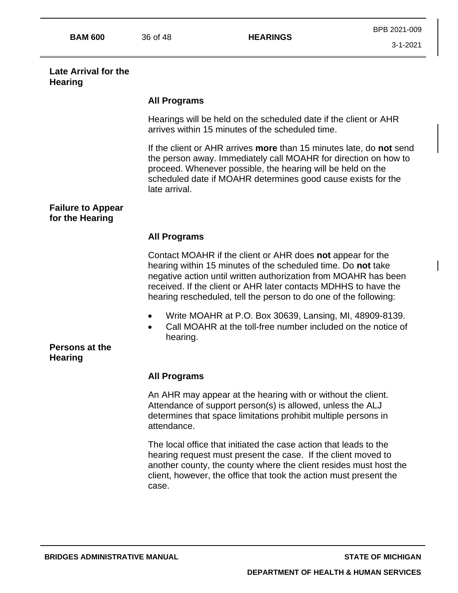#### **Late Arrival for the Hearing**

## **All Programs**

Hearings will be held on the scheduled date if the client or AHR arrives within 15 minutes of the scheduled time.

If the client or AHR arrives **more** than 15 minutes late, do **not** send the person away. Immediately call MOAHR for direction on how to proceed. Whenever possible, the hearing will be held on the scheduled date if MOAHR determines good cause exists for the late arrival.

## **Failure to Appear for the Hearing**

# **All Programs**

Contact MOAHR if the client or AHR does **not** appear for the hearing within 15 minutes of the scheduled time. Do **not** take negative action until written authorization from MOAHR has been received. If the client or AHR later contacts MDHHS to have the hearing rescheduled, tell the person to do one of the following:

- Write MOAHR at P.O. Box 30639, Lansing, MI, 48909-8139.
- Call MOAHR at the toll-free number included on the notice of hearing.

# **Persons at the Hearing**

## **All Programs**

An AHR may appear at the hearing with or without the client. Attendance of support person(s) is allowed, unless the ALJ determines that space limitations prohibit multiple persons in attendance.

The local office that initiated the case action that leads to the hearing request must present the case. If the client moved to another county, the county where the client resides must host the client, however, the office that took the action must present the case.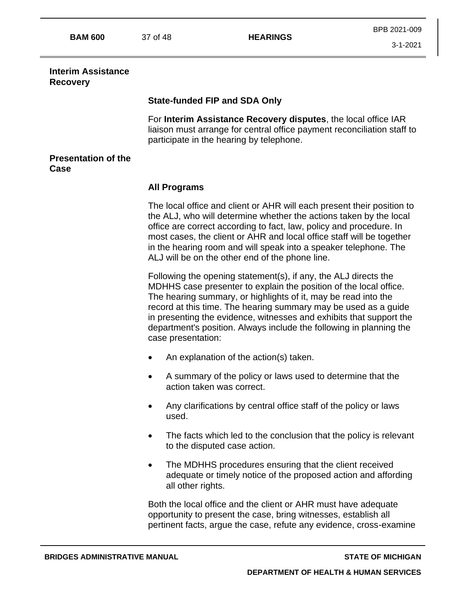**BAM 600** 37 of 48 **HEARINGS**

3-1-2021

#### **Interim Assistance Recovery**

## **State-funded FIP and SDA Only**

For **Interim Assistance Recovery disputes**, the local office IAR liaison must arrange for central office payment reconciliation staff to participate in the hearing by telephone.

## **Presentation of the Case**

# **All Programs**

The local office and client or AHR will each present their position to the ALJ, who will determine whether the actions taken by the local office are correct according to fact, law, policy and procedure. In most cases, the client or AHR and local office staff will be together in the hearing room and will speak into a speaker telephone. The ALJ will be on the other end of the phone line.

Following the opening statement(s), if any, the ALJ directs the MDHHS case presenter to explain the position of the local office. The hearing summary, or highlights of it, may be read into the record at this time. The hearing summary may be used as a guide in presenting the evidence, witnesses and exhibits that support the department's position. Always include the following in planning the case presentation:

- An explanation of the action(s) taken.
- A summary of the policy or laws used to determine that the action taken was correct.
- Any clarifications by central office staff of the policy or laws used.
- The facts which led to the conclusion that the policy is relevant to the disputed case action.
- The MDHHS procedures ensuring that the client received adequate or timely notice of the proposed action and affording all other rights.

Both the local office and the client or AHR must have adequate opportunity to present the case, bring witnesses, establish all pertinent facts, argue the case, refute any evidence, cross-examine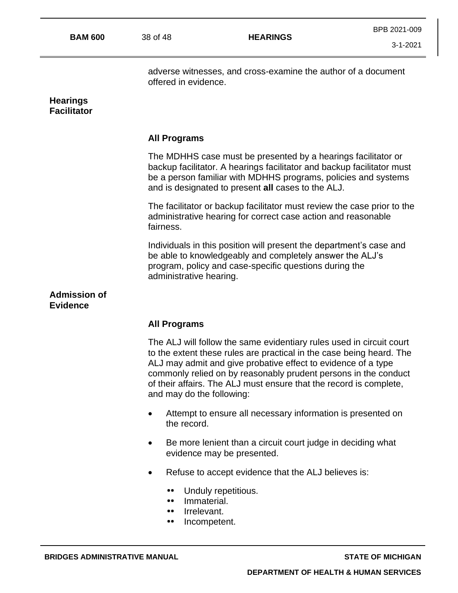3-1-2021

adverse witnesses, and cross-examine the author of a document offered in evidence.

## **Hearings Facilitator**

## **All Programs**

The MDHHS case must be presented by a hearings facilitator or backup facilitator. A hearings facilitator and backup facilitator must be a person familiar with MDHHS programs, policies and systems and is designated to present **all** cases to the ALJ.

The facilitator or backup facilitator must review the case prior to the administrative hearing for correct case action and reasonable fairness.

Individuals in this position will present the department's case and be able to knowledgeably and completely answer the ALJ's program, policy and case-specific questions during the administrative hearing.

#### **Admission of Evidence**

## **All Programs**

The ALJ will follow the same evidentiary rules used in circuit court to the extent these rules are practical in the case being heard. The ALJ may admit and give probative effect to evidence of a type commonly relied on by reasonably prudent persons in the conduct of their affairs. The ALJ must ensure that the record is complete, and may do the following:

- Attempt to ensure all necessary information is presented on the record.
- Be more lenient than a circuit court judge in deciding what evidence may be presented.
- Refuse to accept evidence that the ALJ believes is:
	- Unduly repetitious.  $\bullet \bullet$
	- $\bullet\bullet$ Immaterial.
	- Irrelevant. ..
	- .. Incompetent.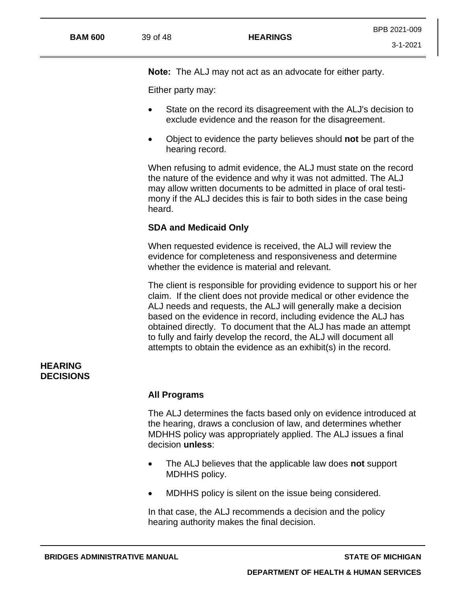3-1-2021

**Note:** The ALJ may not act as an advocate for either party.

Either party may:

- State on the record its disagreement with the ALJ's decision to exclude evidence and the reason for the disagreement.
- Object to evidence the party believes should **not** be part of the hearing record.

When refusing to admit evidence, the ALJ must state on the record the nature of the evidence and why it was not admitted. The ALJ may allow written documents to be admitted in place of oral testimony if the ALJ decides this is fair to both sides in the case being heard.

# **SDA and Medicaid Only**

When requested evidence is received, the ALJ will review the evidence for completeness and responsiveness and determine whether the evidence is material and relevant.

The client is responsible for providing evidence to support his or her claim. If the client does not provide medical or other evidence the ALJ needs and requests, the ALJ will generally make a decision based on the evidence in record, including evidence the ALJ has obtained directly. To document that the ALJ has made an attempt to fully and fairly develop the record, the ALJ will document all attempts to obtain the evidence as an exhibit(s) in the record.

# **HEARING DECISIONS**

## **All Programs**

The ALJ determines the facts based only on evidence introduced at the hearing, draws a conclusion of law, and determines whether MDHHS policy was appropriately applied. The ALJ issues a final decision **unless**:

- The ALJ believes that the applicable law does **not** support MDHHS policy.
- MDHHS policy is silent on the issue being considered.

In that case, the ALJ recommends a decision and the policy hearing authority makes the final decision.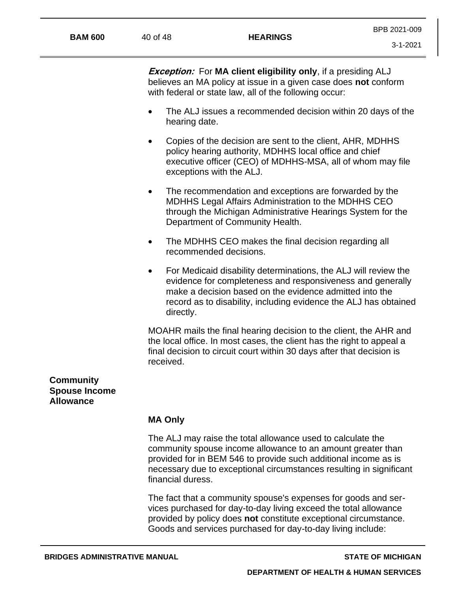**Exception:** For **MA client eligibility only**, if a presiding ALJ believes an MA policy at issue in a given case does **not** conform with federal or state law, all of the following occur:

- The ALJ issues a recommended decision within 20 days of the hearing date.
- Copies of the decision are sent to the client, AHR, MDHHS policy hearing authority, MDHHS local office and chief executive officer (CEO) of MDHHS-MSA, all of whom may file exceptions with the ALJ.
- The recommendation and exceptions are forwarded by the MDHHS Legal Affairs Administration to the MDHHS CEO through the Michigan Administrative Hearings System for the Department of Community Health.
- The MDHHS CEO makes the final decision regarding all recommended decisions.
- For Medicaid disability determinations, the ALJ will review the evidence for completeness and responsiveness and generally make a decision based on the evidence admitted into the record as to disability, including evidence the ALJ has obtained directly.

MOAHR mails the final hearing decision to the client, the AHR and the local office. In most cases, the client has the right to appeal a final decision to circuit court within 30 days after that decision is received.

# **Community Spouse Income Allowance**

## **MA Only**

The ALJ may raise the total allowance used to calculate the community spouse income allowance to an amount greater than provided for in BEM 546 to provide such additional income as is necessary due to exceptional circumstances resulting in significant financial duress.

The fact that a community spouse's expenses for goods and services purchased for day-to-day living exceed the total allowance provided by policy does **not** constitute exceptional circumstance. Goods and services purchased for day-to-day living include: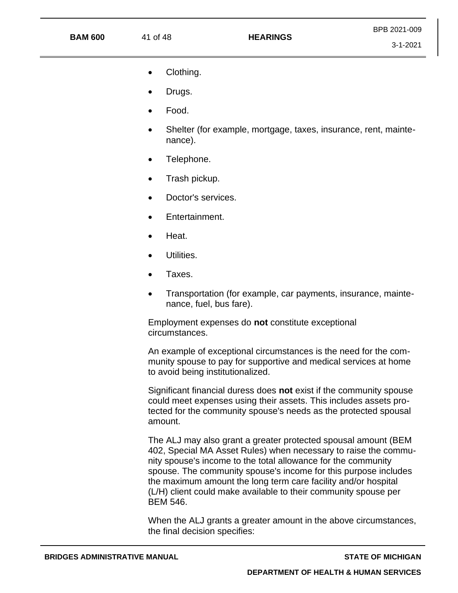#### **BAM 600** 41 of 48 **HEARINGS**

- Clothing.
- Drugs.
- Food.
- Shelter (for example, mortgage, taxes, insurance, rent, maintenance).
- Telephone.
- Trash pickup.
- Doctor's services.
- Entertainment.
- Heat.
- Utilities.
- Taxes.
- Transportation (for example, car payments, insurance, maintenance, fuel, bus fare).

Employment expenses do **not** constitute exceptional circumstances.

An example of exceptional circumstances is the need for the community spouse to pay for supportive and medical services at home to avoid being institutionalized.

Significant financial duress does **not** exist if the community spouse could meet expenses using their assets. This includes assets protected for the community spouse's needs as the protected spousal amount.

The ALJ may also grant a greater protected spousal amount (BEM 402, Special MA Asset Rules) when necessary to raise the community spouse's income to the total allowance for the community spouse. The community spouse's income for this purpose includes the maximum amount the long term care facility and/or hospital (L/H) client could make available to their community spouse per BEM 546.

When the ALJ grants a greater amount in the above circumstances, the final decision specifies: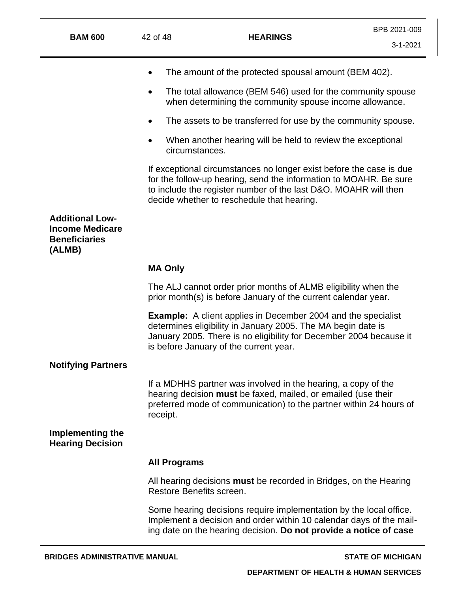3-1-2021

- The amount of the protected spousal amount (BEM 402).
- The total allowance (BEM 546) used for the community spouse when determining the community spouse income allowance.
- The assets to be transferred for use by the community spouse.
- When another hearing will be held to review the exceptional circumstances.

If exceptional circumstances no longer exist before the case is due for the follow-up hearing, send the information to MOAHR. Be sure to include the register number of the last D&O. MOAHR will then decide whether to reschedule that hearing.

**Additional Low-Income Medicare Beneficiaries (ALMB)**

#### **MA Only**

The ALJ cannot order prior months of ALMB eligibility when the prior month(s) is before January of the current calendar year.

**Example:** A client applies in December 2004 and the specialist determines eligibility in January 2005. The MA begin date is January 2005. There is no eligibility for December 2004 because it is before January of the current year.

#### **Notifying Partners**

If a MDHHS partner was involved in the hearing, a copy of the hearing decision **must** be faxed, mailed, or emailed (use their preferred mode of communication) to the partner within 24 hours of receipt.

## **Implementing the Hearing Decision**

#### **All Programs**

All hearing decisions **must** be recorded in Bridges, on the Hearing Restore Benefits screen.

Some hearing decisions require implementation by the local office. Implement a decision and order within 10 calendar days of the mailing date on the hearing decision. **Do not provide a notice of case**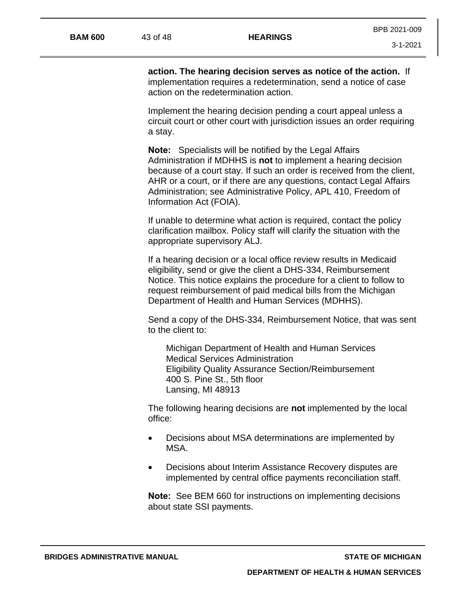**action. The hearing decision serves as notice of the action.** If implementation requires a redetermination, send a notice of case action on the redetermination action.

Implement the hearing decision pending a court appeal unless a circuit court or other court with jurisdiction issues an order requiring a stay.

**Note:** Specialists will be notified by the Legal Affairs Administration if MDHHS is **not** to implement a hearing decision because of a court stay. If such an order is received from the client, AHR or a court, or if there are any questions, contact Legal Affairs Administration; see Administrative Policy, APL 410, Freedom of Information Act (FOIA).

If unable to determine what action is required, contact the policy clarification mailbox. Policy staff will clarify the situation with the appropriate supervisory ALJ.

If a hearing decision or a local office review results in Medicaid eligibility, send or give the client a DHS-334, Reimbursement Notice. This notice explains the procedure for a client to follow to request reimbursement of paid medical bills from the Michigan Department of Health and Human Services (MDHHS).

Send a copy of the DHS-334, Reimbursement Notice, that was sent to the client to:

Michigan Department of Health and Human Services Medical Services Administration Eligibility Quality Assurance Section/Reimbursement 400 S. Pine St., 5th floor Lansing, MI 48913

The following hearing decisions are **not** implemented by the local office:

- Decisions about MSA determinations are implemented by MSA.
- Decisions about Interim Assistance Recovery disputes are implemented by central office payments reconciliation staff.

**Note:** See BEM 660 for instructions on implementing decisions about state SSI payments.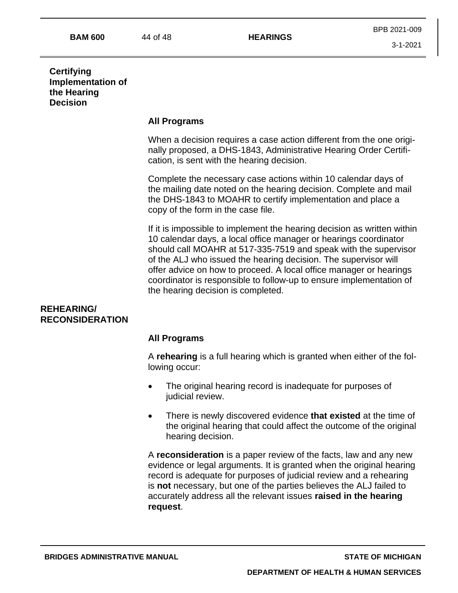## **Certifying Implementation of the Hearing Decision**

## **All Programs**

When a decision requires a case action different from the one originally proposed, a DHS-1843, Administrative Hearing Order Certification, is sent with the hearing decision.

Complete the necessary case actions within 10 calendar days of the mailing date noted on the hearing decision. Complete and mail the DHS-1843 to MOAHR to certify implementation and place a copy of the form in the case file.

If it is impossible to implement the hearing decision as written within 10 calendar days, a local office manager or hearings coordinator should call MOAHR at 517-335-7519 and speak with the supervisor of the ALJ who issued the hearing decision. The supervisor will offer advice on how to proceed. A local office manager or hearings coordinator is responsible to follow-up to ensure implementation of the hearing decision is completed.

## **REHEARING/ RECONSIDERATION**

## **All Programs**

A **rehearing** is a full hearing which is granted when either of the following occur:

- The original hearing record is inadequate for purposes of judicial review.
- There is newly discovered evidence **that existed** at the time of the original hearing that could affect the outcome of the original hearing decision.

A **reconsideration** is a paper review of the facts, law and any new evidence or legal arguments. It is granted when the original hearing record is adequate for purposes of judicial review and a rehearing is **not** necessary, but one of the parties believes the ALJ failed to accurately address all the relevant issues **raised in the hearing request**.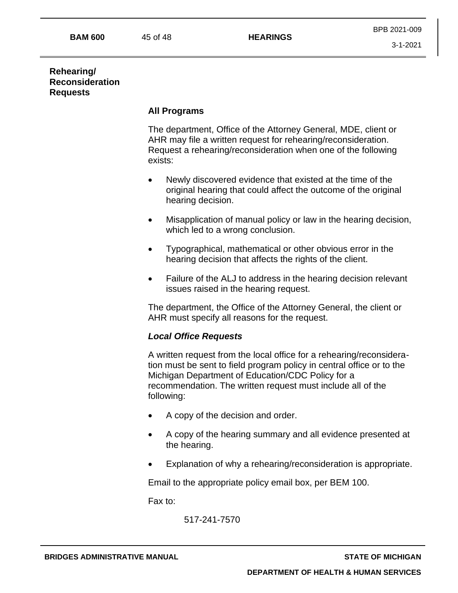## **Rehearing/ Reconsideration Requests**

#### **All Programs**

The department, Office of the Attorney General, MDE, client or AHR may file a written request for rehearing/reconsideration. Request a rehearing/reconsideration when one of the following exists:

- Newly discovered evidence that existed at the time of the original hearing that could affect the outcome of the original hearing decision.
- Misapplication of manual policy or law in the hearing decision, which led to a wrong conclusion.
- Typographical, mathematical or other obvious error in the hearing decision that affects the rights of the client.
- Failure of the ALJ to address in the hearing decision relevant issues raised in the hearing request.

The department, the Office of the Attorney General, the client or AHR must specify all reasons for the request.

#### *Local Office Requests*

A written request from the local office for a rehearing/reconsideration must be sent to field program policy in central office or to the Michigan Department of Education/CDC Policy for a recommendation. The written request must include all of the following:

- A copy of the decision and order.
- A copy of the hearing summary and all evidence presented at the hearing.
- Explanation of why a rehearing/reconsideration is appropriate.

Email to the appropriate policy email box, per BEM 100.

Fax to:

517-241-7570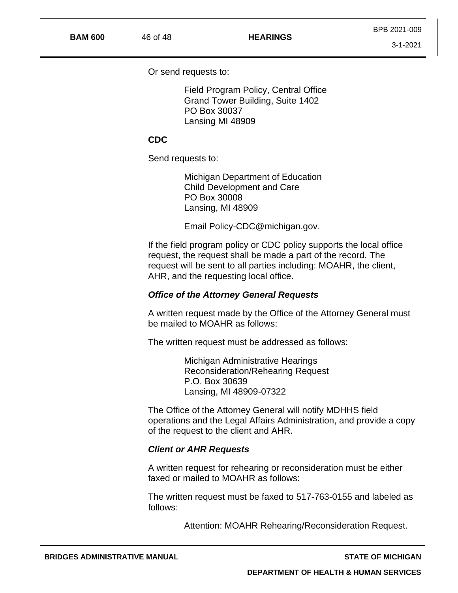Or send requests to:

Field Program Policy, Central Office Grand Tower Building, Suite 1402 PO Box 30037 Lansing MI 48909

#### **CDC**

Send requests to:

Michigan Department of Education Child Development and Care PO Box 30008 Lansing, MI 48909

Email Policy-CDC@michigan.gov.

If the field program policy or CDC policy supports the local office request, the request shall be made a part of the record. The request will be sent to all parties including: MOAHR, the client, AHR, and the requesting local office.

#### *Office of the Attorney General Requests*

A written request made by the Office of the Attorney General must be mailed to MOAHR as follows:

The written request must be addressed as follows:

Michigan Administrative Hearings Reconsideration/Rehearing Request P.O. Box 30639 Lansing, MI 48909-07322

The Office of the Attorney General will notify MDHHS field operations and the Legal Affairs Administration, and provide a copy of the request to the client and AHR.

#### *Client or AHR Requests*

A written request for rehearing or reconsideration must be either faxed or mailed to MOAHR as follows:

The written request must be faxed to 517-763-0155 and labeled as follows:

Attention: MOAHR Rehearing/Reconsideration Request.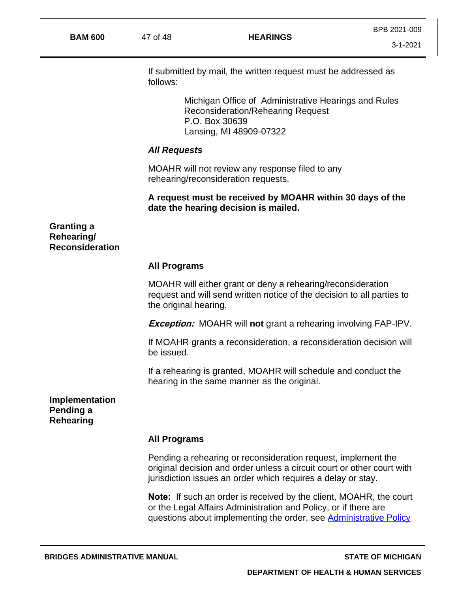If submitted by mail, the written request must be addressed as follows:

> Michigan Office of Administrative Hearings and Rules Reconsideration/Rehearing Request P.O. Box 30639 Lansing, MI 48909-07322

#### *All Requests*

MOAHR will not review any response filed to any rehearing/reconsideration requests.

## **A request must be received by MOAHR within 30 days of the date the hearing decision is mailed.**

**Granting a Rehearing/ Reconsideration**

#### **All Programs**

MOAHR will either grant or deny a rehearing/reconsideration request and will send written notice of the decision to all parties to the original hearing.

**Exception:** MOAHR will **not** grant a rehearing involving FAP-IPV.

If MOAHR grants a reconsideration, a reconsideration decision will be issued.

If a rehearing is granted, MOAHR will schedule and conduct the hearing in the same manner as the original.

**Implementation Pending a Rehearing**

#### **All Programs**

Pending a rehearing or reconsideration request, implement the original decision and order unless a circuit court or other court with jurisdiction issues an order which requires a delay or stay.

**Note:** If such an order is received by the client, MOAHR, the court or the Legal Affairs Administration and Policy, or if there are questions about implementing the order, see Administrative Policy